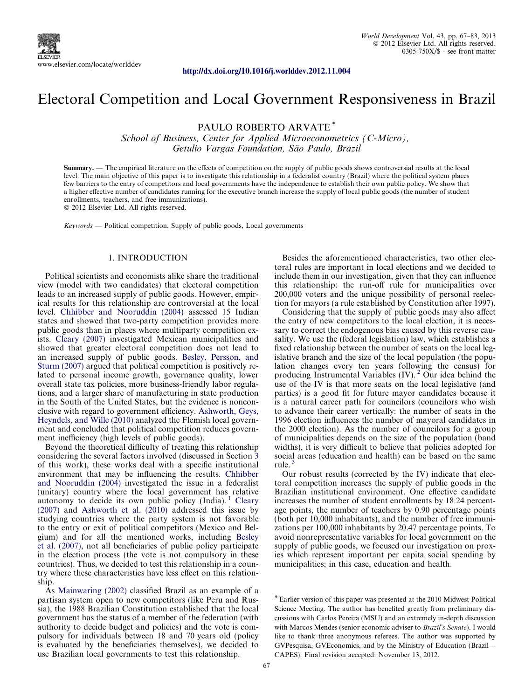

#### <http://dx.doi.org/10.1016/j.worlddev.2012.11.004>

# Electoral Competition and Local Government Responsiveness in Brazil

PAULO ROBERTO ARVATE\*

School of Business, Center for Applied Microeconometrics (C-Micro), Getulio Vargas Foundation, São Paulo, Brazil

Summary. — The empirical literature on the effects of competition on the supply of public goods shows controversial results at the local level. The main objective of this paper is to investigate this relationship in a federalist country (Brazil) where the political system places few barriers to the entry of competitors and local governments have the independence to establish their own public policy. We show that a higher effective number of candidates running for the executive branch increase the supply of local public goods (the number of student enrollments, teachers, and free immunizations).

- 2012 Elsevier Ltd. All rights reserved.

Keywords — Political competition, Supply of public goods, Local governments

## 1. INTRODUCTION

Political scientists and economists alike share the traditional view (model with two candidates) that electoral competition leads to an increased supply of public goods. However, empirical results for this relationship are controversial at the local level. [Chhibber and Nooruddin \(2004\)](#page-15-0) assessed 15 Indian states and showed that two-party competition provides more public goods than in places where multiparty competition exists. [Cleary \(2007\)](#page-15-0) investigated Mexican municipalities and showed that greater electoral competition does not lead to an increased supply of public goods. [Besley, Persson, and](#page-14-0) [Sturm \(2007\)](#page-14-0) argued that political competition is positively related to personal income growth, governance quality, lower overall state tax policies, more business-friendly labor regulations, and a larger share of manufacturing in state production in the South of the United States, but the evidence is nonconclusive with regard to government efficiency. [Ashworth, Geys,](#page-14-0) [Heyndels, and Wille \(2010\)](#page-14-0) analyzed the Flemish local government and concluded that political competition reduces government inefficiency (high levels of public goods).

Beyond the theoretical difficulty of treating this relationship considering the several factors involved (discussed in Section 3 of this work), these works deal with a specific institutional environment that may be influencing the results. [Chhibber](#page-15-0) [and Nooruddin \(2004\)](#page-15-0) investigated the issue in a federalist (unitary) country where the local government has relative autonomy to decide its own public policy  $(India)$ . [Cleary](#page-15-0) [\(2007\)](#page-15-0) and [Ashworth et al. \(2010\)](#page-14-0) addressed this issue by studying countries where the party system is not favorable to the entry or exit of political competitors (Mexico and Belgium) and for all the mentioned works, including [Besley](#page-14-0) [et al. \(2007\)](#page-14-0), not all beneficiaries of public policy participate in the election process (the vote is not compulsory in these countries). Thus, we decided to test this relationship in a country where these characteristics have less effect on this relationship.

As [Mainwaring \(2002\)](#page-15-0) classified Brazil as an example of a partisan system open to new competitors (like Peru and Russia), the 1988 Brazilian Constitution established that the local government has the status of a member of the federation (with authority to decide budget and policies) and the vote is compulsory for individuals between 18 and 70 years old (policy is evaluated by the beneficiaries themselves), we decided to use Brazilian local governments to test this relationship.

Besides the aforementioned characteristics, two other electoral rules are important in local elections and we decided to include them in our investigation, given that they can influence this relationship: the run-off rule for municipalities over 200,000 voters and the unique possibility of personal reelection for mayors (a rule established by Constitution after 1997).

Considering that the supply of public goods may also affect the entry of new competitors to the local election, it is necessary to correct the endogenous bias caused by this reverse causality. We use the (federal legislation) law, which establishes a fixed relationship between the number of seats on the local legislative branch and the size of the local population (the population changes every ten years following the census) for producing Instrumental Variables (IV). <sup>2</sup> Our idea behind the use of the IV is that more seats on the local legislative (and parties) is a good fit for future mayor candidates because it is a natural career path for councilors (councilors who wish to advance their career vertically: the number of seats in the 1996 election influences the number of mayoral candidates in the 2000 election). As the number of councilors for a group of municipalities depends on the size of the population (band widths), it is very difficult to believe that policies adopted for social areas (education and health) can be based on the same rule. <sup>3</sup>

Our robust results (corrected by the IV) indicate that electoral competition increases the supply of public goods in the Brazilian institutional environment. One effective candidate increases the number of student enrollments by 18.24 percentage points, the number of teachers by 0.90 percentage points (both per 10,000 inhabitants), and the number of free immunizations per 100,000 inhabitants by 20.47 percentage points. To avoid nonrepresentative variables for local government on the supply of public goods, we focused our investigation on proxies which represent important per capita social spending by municipalities; in this case, education and health.

<sup>\*</sup>Earlier version of this paper was presented at the 2010 Midwest Political Science Meeting. The author has benefited greatly from preliminary discussions with Carlos Pereira (MSU) and an extremely in-depth discussion with Marcos Mendes (senior economic adviser to Brazil's Senate). I would like to thank three anonymous referees. The author was supported by GVPesquisa, GVEconomics, and by the Ministry of Education (Brazil— CAPES). Final revision accepted: November 13, 2012.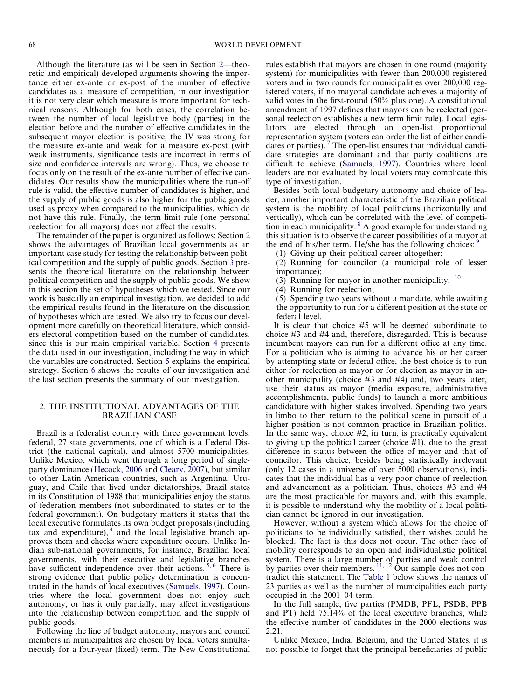Although the literature (as will be seen in Section 2—theoretic and empirical) developed arguments showing the importance either ex-ante or ex-post of the number of effective candidates as a measure of competition, in our investigation it is not very clear which measure is more important for technical reasons. Although for both cases, the correlation between the number of local legislative body (parties) in the election before and the number of effective candidates in the subsequent mayor election is positive, the IV was strong for the measure ex-ante and weak for a measure ex-post (with weak instruments, significance tests are incorrect in terms of size and confidence intervals are wrong). Thus, we choose to focus only on the result of the ex-ante number of effective candidates. Our results show the municipalities where the run-off rule is valid, the effective number of candidates is higher, and the supply of public goods is also higher for the public goods used as proxy when compared to the municipalities, which do not have this rule. Finally, the term limit rule (one personal reelection for all mayors) does not affect the results.

The remainder of the paper is organized as follows: Section 2 shows the advantages of Brazilian local governments as an important case study for testing the relationship between political competition and the supply of public goods. Section 3 presents the theoretical literature on the relationship between political competition and the supply of public goods. We show in this section the set of hypotheses which we tested. Since our work is basically an empirical investigation, we decided to add the empirical results found in the literature on the discussion of hypotheses which are tested. We also try to focus our development more carefully on theoretical literature, which considers electoral competition based on the number of candidates, since this is our main empirical variable. Section 4 presents the data used in our investigation, including the way in which the variables are constructed. Section 5 explains the empirical strategy. Section 6 shows the results of our investigation and the last section presents the summary of our investigation.

# 2. THE INSTITUTIONAL ADVANTAGES OF THE BRAZILIAN CASE

Brazil is a federalist country with three government levels: federal, 27 state governments, one of which is a Federal District (the national capital), and almost 5700 municipalities. Unlike Mexico, which went through a long period of singleparty dominance ([Hecock, 2006](#page-15-0) and [Cleary, 2007\)](#page-15-0), but similar to other Latin American countries, such as Argentina, Uruguay, and Chile that lived under dictatorships, Brazil states in its Constitution of 1988 that municipalities enjoy the status of federation members (not subordinated to states or to the federal government). On budgetary matters it states that the local executive formulates its own budget proposals (including tax and expenditure), $4$  and the local legislative branch approves them and checks where expenditure occurs. Unlike Indian sub-national governments, for instance, Brazilian local governments, with their executive and legislative branches have sufficient independence over their actions.<sup>5, 6</sup> There is strong evidence that public policy determination is concentrated in the hands of local executives [\(Samuels, 1997\)](#page-15-0). Countries where the local government does not enjoy such autonomy, or has it only partially, may affect investigations into the relationship between competition and the supply of public goods.

Following the line of budget autonomy, mayors and council members in municipalities are chosen by local voters simultaneously for a four-year (fixed) term. The New Constitutional rules establish that mayors are chosen in one round (majority system) for municipalities with fewer than 200,000 registered voters and in two rounds for municipalities over 200,000 registered voters, if no mayoral candidate achieves a majority of valid votes in the first-round (50% plus one). A constitutional amendment of 1997 defines that mayors can be reelected (personal reelection establishes a new term limit rule). Local legislators are elected through an open-list proportional representation system (voters can order the list of either candidates or parties). The open-list ensures that individual candidate strategies are dominant and that party coalitions are difficult to achieve ([Samuels, 1997\)](#page-15-0). Countries where local leaders are not evaluated by local voters may complicate this type of investigation.

Besides both local budgetary autonomy and choice of leader, another important characteristic of the Brazilian political system is the mobility of local politicians (horizontally and vertically), which can be correlated with the level of competition in each municipality.  $8$  A good example for understanding this situation is to observe the career possibilities of a mayor at the end of his/her term. He/she has the following choices:  $\frac{9}{2}$ 

(1) Giving up their political career altogether;

(2) Running for councilor (a municipal role of lesser importance);

(3) Running for mayor in another municipality;  $10$ 

(4) Running for reelection;

(5) Spending two years without a mandate, while awaiting the opportunity to run for a different position at the state or federal level.

It is clear that choice #5 will be deemed subordinate to choice #3 and #4 and, therefore, disregarded. This is because incumbent mayors can run for a different office at any time. For a politician who is aiming to advance his or her career by attempting state or federal office, the best choice is to run either for reelection as mayor or for election as mayor in another municipality (choice #3 and #4) and, two years later, use their status as mayor (media exposure, administrative accomplishments, public funds) to launch a more ambitious candidature with higher stakes involved. Spending two years in limbo to then return to the political scene in pursuit of a higher position is not common practice in Brazilian politics. In the same way, choice #2, in turn, is practically equivalent to giving up the political career (choice #1), due to the great difference in status between the office of mayor and that of councilor. This choice, besides being statistically irrelevant (only 12 cases in a universe of over 5000 observations), indicates that the individual has a very poor chance of reelection and advancement as a politician. Thus, choices #3 and #4 are the most practicable for mayors and, with this example, it is possible to understand why the mobility of a local politician cannot be ignored in our investigation.

However, without a system which allows for the choice of politicians to be individually satisfied, their wishes could be blocked. The fact is this does not occur. The other face of mobility corresponds to an open and individualistic political system. There is a large number of parties and weak control<br>by parties over their members.<sup>11, 12</sup> Our sample does not contradict this statement. The [Table 1](#page-2-0) below shows the names of 23 parties as well as the number of municipalities each party occupied in the 2001–04 term.

In the full sample, five parties (PMDB, PFL, PSDB, PPB and PT) held 75.14% of the local executive branches, while the effective number of candidates in the 2000 elections was 2.21.

Unlike Mexico, India, Belgium, and the United States, it is not possible to forget that the principal beneficiaries of public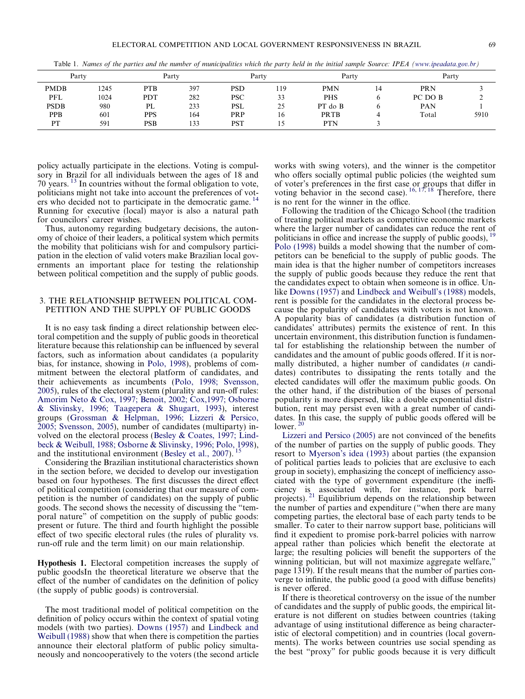<span id="page-2-0"></span>

| Party       |      |            | Party |            | Party |             | Party | Party   |      |  |
|-------------|------|------------|-------|------------|-------|-------------|-------|---------|------|--|
| <b>PMDB</b> | 1245 | PTB        | 397   | PSD        | 119   | <b>PMN</b>  | 14    | PRN     |      |  |
| PFL         | 1024 | PDT        | 282   | PSC        | 33    | <b>PHS</b>  |       | PC DO B |      |  |
| <b>PSDB</b> | 980  | PL         | 233   | PSL        | 25    | PT do B     |       | PAN     |      |  |
| <b>PPB</b>  | 601  | <b>PPS</b> | 164   | PRP        | 16    | <b>PRTB</b> |       | Total   | 5910 |  |
| PT          | 591  | <b>PSB</b> | 133   | <b>PST</b> |       | PTN         |       |         |      |  |

Table 1. Names of the parties and the number of municipalities which the party held in the initial sample Source: IPEA [\(www.ipeadata.gov.br](http://www.ipeadata.gov.br))

policy actually participate in the elections. Voting is compulsory in Brazil for all individuals between the ages of 18 and 70 years. <sup>13</sup> In countries without the formal obligation to vote, politicians might not take into account the preferences of voters who decided not to participate in the democratic game.<sup>14</sup> Running for executive (local) mayor is also a natural path for councilors' career wishes.

Thus, autonomy regarding budgetary decisions, the autonomy of choice of their leaders, a political system which permits the mobility that politicians wish for and compulsory participation in the election of valid voters make Brazilian local governments an important place for testing the relationship between political competition and the supply of public goods.

### 3. THE RELATIONSHIP BETWEEN POLITICAL COM-PETITION AND THE SUPPLY OF PUBLIC GOODS

It is no easy task finding a direct relationship between electoral competition and the supply of public goods in theoretical literature because this relationship can be influenced by several factors, such as information about candidates (a popularity bias, for instance, showing in [Polo, 1998](#page-15-0)), problems of commitment between the electoral platform of candidates, and their achievements as incumbents [\(Polo, 1998; Svensson,](#page-15-0) [2005](#page-15-0)), rules of the electoral system (plurality and run-off rules: [Amorim Neto & Cox, 1997; Benoit, 2002; Cox,1997; Osborne](#page-14-0) [& Slivinsky, 1996; Taagepera & Shugart, 1993\)](#page-14-0), interest groups ([Grossman & Helpman, 1996; Lizzeri & Persico,](#page-15-0) [2005; Svensson, 2005](#page-15-0)), number of candidates (multiparty) involved on the electoral process [\(Besley & Coates, 1997; Lind](#page-14-0)[beck & Weibull, 1988; Osborne & Slivinsky, 1996; Polo, 1998\)](#page-14-0), and the institutional environment ([Besley et al., 2007\)](#page-14-0).

Considering the Brazilian institutional characteristics shown in the section before, we decided to develop our investigation based on four hypotheses. The first discusses the direct effect of political competition (considering that our measure of competition is the number of candidates) on the supply of public goods. The second shows the necessity of discussing the "temporal nature" of competition on the supply of public goods: present or future. The third and fourth highlight the possible effect of two specific electoral rules (the rules of plurality vs. run-off rule and the term limit) on our main relationship.

Hypothesis 1. Electoral competition increases the supply of public goodsIn the theoretical literature we observe that the effect of the number of candidates on the definition of policy (the supply of public goods) is controversial.

The most traditional model of political competition on the definition of policy occurs within the context of spatial voting models (with two parties). [Downs \(1957\)](#page-15-0) and [Lindbeck and](#page-15-0) [Weibull \(1988\)](#page-15-0) show that when there is competition the parties announce their electoral platform of public policy simultaneously and noncooperatively to the voters (the second article works with swing voters), and the winner is the competitor who offers socially optimal public policies (the weighted sum of voter's preferences in the first case or groups that differ in voting behavior in the second case).  $^{16, 17, 18}$  Therefore, there is no rent for the winner in the office.

Following the tradition of the Chicago School (the tradition of treating political markets as competitive economic markets where the larger number of candidates can reduce the rent of politicians in office and increase the supply of public goods), <sup>19</sup> [Polo \(1998\)](#page-15-0) builds a model showing that the number of competitors can be beneficial to the supply of public goods. The main idea is that the higher number of competitors increases the supply of public goods because they reduce the rent that the candidates expect to obtain when someone is in office. Unlike [Downs \(1957\)](#page-15-0) and [Lindbeck and Weibull's \(1988\)](#page-15-0) models, rent is possible for the candidates in the electoral process because the popularity of candidates with voters is not known. A popularity bias of candidates (a distribution function of candidates' attributes) permits the existence of rent. In this uncertain environment, this distribution function is fundamental for establishing the relationship between the number of candidates and the amount of public goods offered. If it is normally distributed, a higher number of candidates  $(n \text{ candi-})$ dates) contributes to dissipating the rents totally and the elected candidates will offer the maximum public goods. On the other hand, if the distribution of the biases of personal popularity is more dispersed, like a double exponential distribution, rent may persist even with a great number of candidates. In this case, the supply of public goods offered will be lower.  $^{20}$ 

[Lizzeri and Persico \(2005\)](#page-15-0) are not convinced of the benefits of the number of parties on the supply of public goods. They resort to [Myerson's idea \(1993\)](#page-15-0) about parties (the expansion of political parties leads to policies that are exclusive to each group in society), emphasizing the concept of inefficiency associated with the type of government expenditure (the inefficiency is associated with, for instance, pork barrel projects).<sup>21</sup> Equilibrium depends on the relationship between the number of parties and expenditure ("when there are many competing parties, the electoral base of each party tends to be smaller. To cater to their narrow support base, politicians will find it expedient to promise pork-barrel policies with narrow appeal rather than policies which benefit the electorate at large; the resulting policies will benefit the supporters of the winning politician, but will not maximize aggregate welfare," page 1319). If the result means that the number of parties converge to infinite, the public good (a good with diffuse benefits) is never offered.

If there is theoretical controversy on the issue of the number of candidates and the supply of public goods, the empirical literature is not different on studies between countries (taking advantage of using institutional difference as being characteristic of electoral competition) and in countries (local governments). The works between countries use social spending as the best "proxy" for public goods because it is very difficult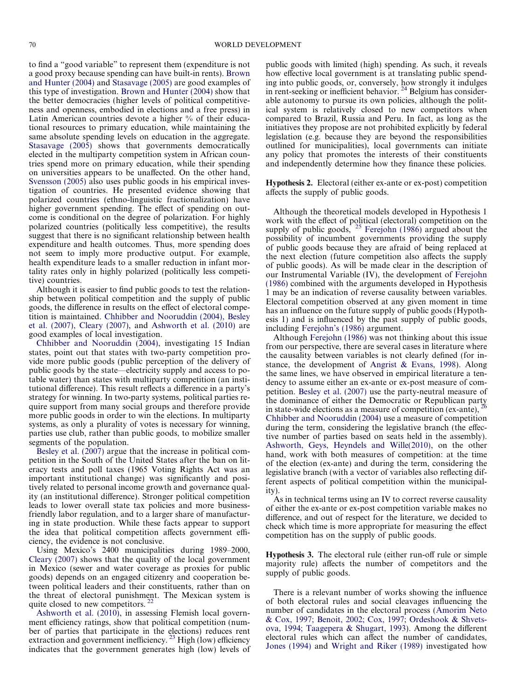to find a "good variable" to represent them (expenditure is not a good proxy because spending can have built-in rents). [Brown](#page-15-0) [and Hunter \(2004\)](#page-15-0) and [Stasavage \(2005\)](#page-15-0) are good examples of this type of investigation. [Brown and Hunter \(2004\)](#page-15-0) show that the better democracies (higher levels of political competitiveness and openness, embodied in elections and a free press) in Latin American countries devote a higher % of their educational resources to primary education, while maintaining the same absolute spending levels on education in the aggregate. [Stasavage \(2005\)](#page-15-0) shows that governments democratically elected in the multiparty competition system in African countries spend more on primary education, while their spending on universities appears to be unaffected. On the other hand, [Svensson \(2005\)](#page-15-0) also uses public goods in his empirical investigation of countries. He presented evidence showing that polarized countries (ethno-linguistic fractionalization) have higher government spending. The effect of spending on outcome is conditional on the degree of polarization. For highly polarized countries (politically less competitive), the results suggest that there is no significant relationship between health expenditure and health outcomes. Thus, more spending does not seem to imply more productive output. For example, health expenditure leads to a smaller reduction in infant mortality rates only in highly polarized (politically less competitive) countries.

Although it is easier to find public goods to test the relationship between political competition and the supply of public goods, the difference in results on the effect of electoral competition is maintained. [Chhibber and Nooruddin \(2004\), Besley](#page-15-0) [et al. \(2007\), Cleary \(2007\)](#page-15-0), and [Ashworth et al. \(2010\)](#page-14-0) are good examples of local investigation.

[Chhibber and Nooruddin \(2004\),](#page-15-0) investigating 15 Indian states, point out that states with two-party competition provide more public goods (public perception of the delivery of public goods by the state—electricity supply and access to potable water) than states with multiparty competition (an institutional difference). This result reflects a difference in a party's strategy for winning. In two-party systems, political parties require support from many social groups and therefore provide more public goods in order to win the elections. In multiparty systems, as only a plurality of votes is necessary for winning, parties use club, rather than public goods, to mobilize smaller segments of the population.

[Besley et al. \(2007\)](#page-14-0) argue that the increase in political competition in the South of the United States after the ban on literacy tests and poll taxes (1965 Voting Rights Act was an important institutional change) was significantly and positively related to personal income growth and governance quality (an institutional difference). Stronger political competition leads to lower overall state tax policies and more businessfriendly labor regulation, and to a larger share of manufacturing in state production. While these facts appear to support the idea that political competition affects government efficiency, the evidence is not conclusive.

Using Mexico's 2400 municipalities during 1989–2000, [Cleary \(2007\)](#page-15-0) shows that the quality of the local government in Mexico (sewer and water coverage as proxies for public goods) depends on an engaged citizenry and cooperation between political leaders and their constituents, rather than on the threat of electoral punishment. The Mexican system is quite closed to new competitors.<sup>22</sup>

[Ashworth et al. \(2010\),](#page-14-0) in assessing Flemish local government efficiency ratings, show that political competition (number of parties that participate in the elections) reduces rent extraction and government inefficiency.<sup>23</sup> High (low) efficiency indicates that the government generates high (low) levels of public goods with limited (high) spending. As such, it reveals how effective local government is at translating public spending into public goods, or, conversely, how strongly it indulges<br>in rent-seeking or inefficient behavior.<sup>24</sup> Belgium has considerable autonomy to pursue its own policies, although the political system is relatively closed to new competitors when compared to Brazil, Russia and Peru. In fact, as long as the initiatives they propose are not prohibited explicitly by federal legislation (e.g. because they are beyond the responsibilities outlined for municipalities), local governments can initiate any policy that promotes the interests of their constituents and independently determine how they finance these policies.

Hypothesis 2. Electoral (either ex-ante or ex-post) competition affects the supply of public goods.

Although the theoretical models developed in Hypothesis 1 work with the effect of political (electoral) competition on the supply of public goods,  $^{25}$  [Ferejohn \(1986\)](#page-15-0) argued about the possibility of incumbent governments providing the supply of public goods because they are afraid of being replaced at the next election (future competition also affects the supply of public goods). As will be made clear in the description of our Instrumental Variable (IV), the development of [Ferejohn](#page-15-0) [\(1986\)](#page-15-0) combined with the arguments developed in Hypothesis 1 may be an indication of reverse causality between variables. Electoral competition observed at any given moment in time has an influence on the future supply of public goods (Hypothesis 1) and is influenced by the past supply of public goods, including [Ferejohn's \(1986\)](#page-15-0) argument.

Although [Ferejohn \(1986\)](#page-15-0) was not thinking about this issue from our perspective, there are several cases in literature where the causality between variables is not clearly defined (for instance, the development of [Angrist & Evans, 1998](#page-14-0)). Along the same lines, we have observed in empirical literature a tendency to assume either an ex-ante or ex-post measure of competition. [Besley et al. \(2007\)](#page-14-0) use the party-neutral measure of the dominance of either the Democratic or Republican party in state-wide elections as a measure of competition (ex-ante), [Chhibber and Nooruddin \(2004\)](#page-15-0) use a measure of competition during the term, considering the legislative branch (the effective number of parties based on seats held in the assembly). [Ashworth, Geys, Heyndels and Wille\(2010\),](#page-14-0) on the other hand, work with both measures of competition: at the time of the election (ex-ante) and during the term, considering the legislative branch (with a vector of variables also reflecting different aspects of political competition within the municipality).

As in technical terms using an IV to correct reverse causality of either the ex-ante or ex-post competition variable makes no difference, and out of respect for the literature, we decided to check which time is more appropriate for measuring the effect competition has on the supply of public goods.

Hypothesis 3. The electoral rule (either run-off rule or simple majority rule) affects the number of competitors and the supply of public goods.

There is a relevant number of works showing the influence of both electoral rules and social cleavages influencing the number of candidates in the electoral process ([Amorim Neto](#page-14-0) [& Cox, 1997; Benoit, 2002; Cox, 1997; Ordeshook & Shvets](#page-14-0)[ova, 1994; Taagepera & Shugart, 1993\)](#page-14-0). Among the different electoral rules which can affect the number of candidates, [Jones \(1994\)](#page-15-0) and [Wright and Riker \(1989\)](#page-15-0) investigated how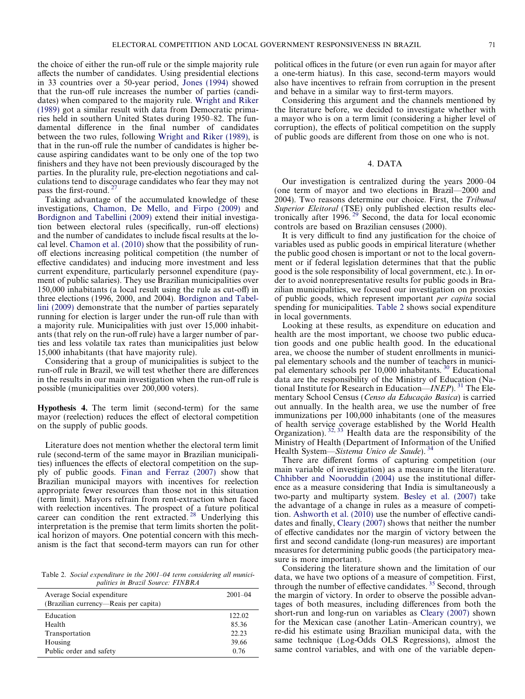the choice of either the run-off rule or the simple majority rule affects the number of candidates. Using presidential elections in 33 countries over a 50-year period, [Jones \(1994\)](#page-15-0) showed that the run-off rule increases the number of parties (candidates) when compared to the majority rule. [Wright and Riker](#page-15-0) [\(1989\)](#page-15-0) got a similar result with data from Democratic primaries held in southern United States during 1950–82. The fundamental difference in the final number of candidates between the two rules, following [Wright and Riker \(1989\)](#page-15-0), is that in the run-off rule the number of candidates is higher because aspiring candidates want to be only one of the top two finishers and they have not been previously discouraged by the parties. In the plurality rule, pre-election negotiations and calculations tend to discourage candidates who fear they may not pass the first-round.<sup>27</sup>

Taking advantage of the accumulated knowledge of these investigations, [Chamon, De Mello, and Firpo \(2009\)](#page-15-0) and [Bordignon and Tabellini \(2009\)](#page-15-0) extend their initial investigation between electoral rules (specifically, run-off elections) and the number of candidates to include fiscal results at the local level. [Chamon et al. \(2010\)](#page-15-0) show that the possibility of runoff elections increasing political competition (the number of effective candidates) and inducing more investment and less current expenditure, particularly personnel expenditure (payment of public salaries). They use Brazilian municipalities over 150,000 inhabitants (a local result using the rule as cut-off) in three elections (1996, 2000, and 2004). [Bordignon and Tabel](#page-15-0)[lini \(2009\)](#page-15-0) demonstrate that the number of parties separately running for election is larger under the run-off rule than with a majority rule. Municipalities with just over 15,000 inhabitants (that rely on the run-off rule) have a larger number of parties and less volatile tax rates than municipalities just below 15,000 inhabitants (that have majority rule).

Considering that a group of municipalities is subject to the run-off rule in Brazil, we will test whether there are differences in the results in our main investigation when the run-off rule is possible (municipalities over 200,000 voters).

Hypothesis 4. The term limit (second-term) for the same mayor (reelection) reduces the effect of electoral competition on the supply of public goods.

Literature does not mention whether the electoral term limit rule (second-term of the same mayor in Brazilian municipalities) influences the effects of electoral competition on the supply of public goods. [Finan and Ferraz \(2007\)](#page-15-0) show that Brazilian municipal mayors with incentives for reelection appropriate fewer resources than those not in this situation (term limit). Mayors refrain from rent-extraction when faced with reelection incentives. The prospect of a future political career can condition the rent extracted.<sup>28</sup> Underlying this interpretation is the premise that term limits shorten the political horizon of mayors. One potential concern with this mechanism is the fact that second-term mayors can run for other

Table 2. Social expenditure in the 2001–04 term considering all municipalities in Brazil Source: FINBRA

| Average Social expenditure<br>(Brazilian currency—Reais per capita) | $2001 - 04$ |
|---------------------------------------------------------------------|-------------|
| Education                                                           | 122.02      |
| Health                                                              | 85.36       |
| Transportation                                                      | 22.23       |
| Housing                                                             | 39.66       |
| Public order and safety                                             | 0.76        |
|                                                                     |             |

political offices in the future (or even run again for mayor after a one-term hiatus). In this case, second-term mayors would also have incentives to refrain from corruption in the present and behave in a similar way to first-term mayors.

Considering this argument and the channels mentioned by the literature before, we decided to investigate whether with a mayor who is on a term limit (considering a higher level of corruption), the effects of political competition on the supply of public goods are different from those on one who is not.

# 4. DATA

Our investigation is centralized during the years 2000–04 (one term of mayor and two elections in Brazil—2000 and 2004). Two reasons determine our choice. First, the Tribunal Superior Eleitoral (TSE) only published election results electronically after 1996.<sup>29</sup> Second, the data for local economic controls are based on Brazilian censuses (2000).

It is very difficult to find any justification for the choice of variables used as public goods in empirical literature (whether the public good chosen is important or not to the local government or if federal legislation determines that that the public good is the sole responsibility of local government, etc.). In order to avoid nonrepresentative results for public goods in Brazilian municipalities, we focused our investigation on proxies of public goods, which represent important per capita social spending for municipalities. Table 2 shows social expenditure in local governments.

Looking at these results, as expenditure on education and health are the most important, we choose two public education goods and one public health good. In the educational area, we choose the number of student enrollments in municipal elementary schools and the number of teachers in municipal elementary schools per 10,000 inhabitants. <sup>30</sup> Educational data are the responsibility of the Ministry of Education (National Institute for Research in Education— $INEP$ ). <sup>31</sup> The Elementary School Census (Censo da Educação Basica) is carried out annually. In the health area, we use the number of free immunizations per 100,000 inhabitants (one of the measures of health service coverage established by the World Health Organization).<sup>32, 33</sup> Health data are the responsibility of the Ministry of Health (Department of Information of the Unified Health System—Sistema Unico de Saude).<sup>34</sup>

There are different forms of capturing competition (our main variable of investigation) as a measure in the literature. [Chhibber and Nooruddin \(2004\)](#page-15-0) use the institutional difference as a measure considering that India is simultaneously a two-party and multiparty system. [Besley et al. \(2007\)](#page-14-0) take the advantage of a change in rules as a measure of competition. [Ashworth et al. \(2010\)](#page-14-0) use the number of effective candidates and finally, [Cleary \(2007\)](#page-15-0) shows that neither the number of effective candidates nor the margin of victory between the first and second candidate (long-run measures) are important measures for determining public goods (the participatory measure is more important).

Considering the literature shown and the limitation of our data, we have two options of a measure of competition. First, through the number of effective candidates.<sup>35</sup> Second, through the margin of victory. In order to observe the possible advantages of both measures, including differences from both the short-run and long-run on variables as [Cleary \(2007\)](#page-15-0) shown for the Mexican case (another Latin–American country), we re-did his estimate using Brazilian municipal data, with the same technique (Log-Odds OLS Regressions), almost the same control variables, and with one of the variable depen-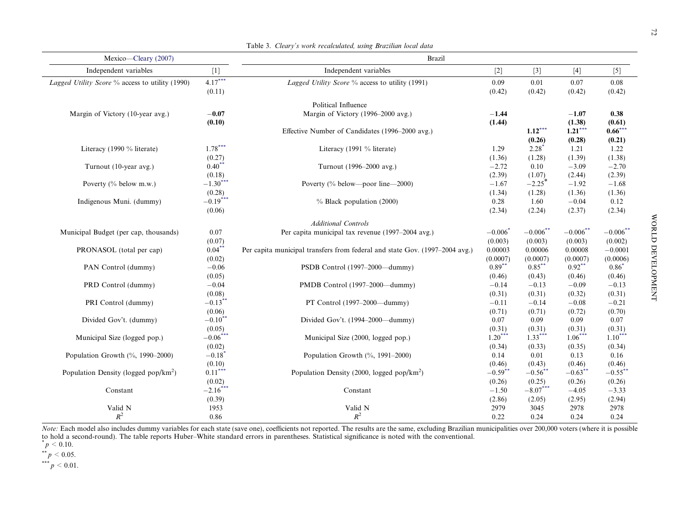<span id="page-5-0"></span>

| Mexico-Cleary (2007)                             |                        | <b>Brazil</b>                                                               |                       |                      |                |                   |  |  |  |  |
|--------------------------------------------------|------------------------|-----------------------------------------------------------------------------|-----------------------|----------------------|----------------|-------------------|--|--|--|--|
| Independent variables                            | $[1]$                  | Independent variables                                                       | $[2]$                 | $[3]$                | $[4]$          | $[5]$             |  |  |  |  |
| Lagged Utility Score % access to utility (1990)  | $4.17***$              | Lagged Utility Score % access to utility (1991)                             | 0.09                  | 0.01                 | 0.07           | 0.08              |  |  |  |  |
|                                                  | (0.11)                 |                                                                             | (0.42)                | (0.42)               | (0.42)         | (0.42)            |  |  |  |  |
|                                                  |                        | Political Influence                                                         |                       |                      |                |                   |  |  |  |  |
| Margin of Victory (10-year avg.)                 | $-0.07$                | Margin of Victory (1996-2000 avg.)                                          | $-1.44$               |                      | $-1.07$        | 0.38              |  |  |  |  |
|                                                  | (0.10)                 |                                                                             | (1.44)                |                      | (1.38)         | (0.61)            |  |  |  |  |
|                                                  |                        | Effective Number of Candidates (1996–2000 avg.)                             |                       | $1.12***$            | $1.21***$      | $0.66***$         |  |  |  |  |
|                                                  | $1.78***$              |                                                                             |                       | (0.26)<br>$2.28*$    | (0.28)<br>1.21 | (0.21)<br>1.22    |  |  |  |  |
| Literacy (1990 % literate)                       | (0.27)                 | Literacy (1991 % literate)                                                  | 1.29<br>(1.36)        | (1.28)               | (1.39)         |                   |  |  |  |  |
| Turnout (10-year avg.)                           | $0.40^{**}$            | Turnout (1996-2000 avg.)                                                    | $-2.72$               | 0.10                 | $-3.09$        | (1.38)<br>$-2.70$ |  |  |  |  |
|                                                  | (0.18)                 |                                                                             | (2.39)                | (1.07)               | (2.44)         | (2.39)            |  |  |  |  |
| Poverty (% below m.w.)                           | $-1.30***$             | Poverty (% below—poor line—2000)                                            | $-1.67$               | $-2.25$ <sup>*</sup> | $-1.92$        | $-1.68$           |  |  |  |  |
|                                                  | (0.28)                 |                                                                             | (1.34)                | (1.28)               | (1.36)         | (1.36)            |  |  |  |  |
| Indigenous Muni. (dummy)                         | $-0.19***$             | % Black population (2000)                                                   | 0.28                  | 1.60                 | $-0.04$        | 0.12              |  |  |  |  |
|                                                  | (0.06)                 |                                                                             | (2.34)                | (2.24)               | (2.37)         | (2.34)            |  |  |  |  |
|                                                  |                        | <b>Additional Controls</b>                                                  |                       |                      |                |                   |  |  |  |  |
| Municipal Budget (per cap, thousands)            | 0.07                   | Per capita municipal tax revenue (1997-2004 avg.)                           | $-0.006$ <sup>*</sup> | $-0.006$ **          | $-0.006$ **    | $-0.006$ **       |  |  |  |  |
|                                                  | (0.07)                 |                                                                             | (0.003)               | (0.003)              | (0.003)        | (0.002)           |  |  |  |  |
| PRONASOL (total per cap)                         | $0.04***$              | Per capita municipal transfers from federal and state Gov. (1997–2004 avg.) | 0.00003               | 0.00006              | 0.00008        | $-0.0001$         |  |  |  |  |
|                                                  | (0.02)                 |                                                                             | (0.0007)              | (0.0007)             | (0.0007)       | (0.0006)          |  |  |  |  |
| PAN Control (dummy)                              | $-0.06$                | PSDB Control (1997-2000-dummy)                                              | $0.89**$              | $0.85***$            | $0.92**$       | $0.86*$           |  |  |  |  |
|                                                  | (0.05)                 |                                                                             | (0.46)                | (0.43)               | (0.46)         | (0.46)            |  |  |  |  |
| PRD Control (dummy)                              | $-0.04$                | PMDB Control (1997-2000-dummy)                                              | $-0.14$               | $-0.13$              | $-0.09$        | $-0.13$           |  |  |  |  |
|                                                  | (0.08)                 |                                                                             | (0.31)                | (0.31)               | (0.32)         | (0.31)            |  |  |  |  |
| PRI Control (dummy)                              | $-0.13$ **             | PT Control (1997-2000-dummy)                                                | $-0.11$               | $-0.14$              | $-0.08$        | $-0.21$           |  |  |  |  |
|                                                  | (0.06)<br>$-0.10^{**}$ |                                                                             | (0.71)                | (0.71)               | (0.72)         | (0.70)            |  |  |  |  |
| Divided Gov't. (dummy)                           | (0.05)                 | Divided Gov't. (1994-2000-dummy)                                            | 0.07<br>(0.31)        | 0.09<br>(0.31)       | 0.09<br>(0.31) | 0.07<br>(0.31)    |  |  |  |  |
| Municipal Size (logged pop.)                     | $-0.06$ <sup>***</sup> | Municipal Size (2000, logged pop.)                                          | $1.20***$             | $1.33***$            | $1.06***$      | $1.10***$         |  |  |  |  |
|                                                  | (0.02)                 |                                                                             | (0.34)                | (0.33)               | (0.35)         | (0.34)            |  |  |  |  |
| Population Growth (%, 1990-2000)                 | $-0.18$ <sup>*</sup>   | Population Growth (%, 1991-2000)                                            | 0.14                  | 0.01                 | 0.13           | 0.16              |  |  |  |  |
|                                                  | (0.10)                 |                                                                             | (0.46)                | (0.43)               | (0.46)         | (0.46)            |  |  |  |  |
| Population Density (logged pop/km <sup>2</sup> ) | $0.11***$              | Population Density (2000, logged pop/km <sup>2</sup> )                      | $-0.59$ **            | $-0.56$ **           | $-0.63$ **     | $-0.55$ **        |  |  |  |  |
|                                                  | (0.02)                 |                                                                             | (0.26)                | (0.25)               | (0.26)         | (0.26)            |  |  |  |  |
| Constant                                         | $-2.16***$             | Constant                                                                    | $-1.50$               | $-8.07***$           | $-4.05$        | $-3.33$           |  |  |  |  |
|                                                  | (0.39)                 |                                                                             | (2.86)                | (2.05)               | (2.95)         | (2.94)            |  |  |  |  |
| Valid N                                          | 1953                   | Valid N                                                                     | 2979                  | 3045                 | 2978           | 2978              |  |  |  |  |
| $\mathbb{R}^2$                                   | 0.86                   | $\mathbb{R}^2$                                                              | 0.22                  | 0.24                 | 0.24           | 0.24              |  |  |  |  |

Table 3. Cleary's work recalculated, using Brazilian local data

Note: Each model also includes dummy variables for each state (save one), coefficients not reported. The results are the same, excluding Brazilian municipalities over 200,000 voters (where it is possible to hold a second-round). The table reports Huber–White standard errors in parentheses. Statistical significance is noted with the conventional.<br>
\* $p < 0.05$ .<br>
\*\*  $p < 0.01$ .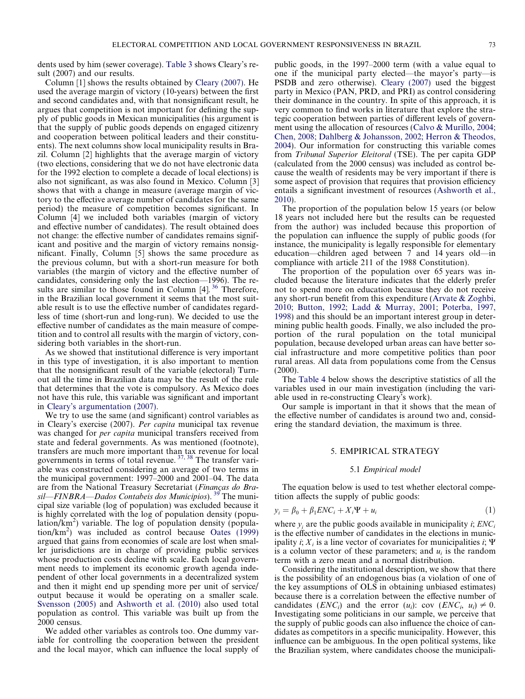<span id="page-6-0"></span>dents used by him (sewer coverage). [Table 3](#page-5-0) shows Cleary's result (2007) and our results.

Column [1] shows the results obtained by [Cleary \(2007\)](#page-15-0). He used the average margin of victory (10-years) between the first and second candidates and, with that nonsignificant result, he argues that competition is not important for defining the supply of public goods in Mexican municipalities (his argument is that the supply of public goods depends on engaged citizenry and cooperation between political leaders and their constituents). The next columns show local municipality results in Brazil. Column [2] highlights that the average margin of victory (two elections, considering that we do not have electronic data for the 1992 election to complete a decade of local elections) is also not significant, as was also found in Mexico. Column [3] shows that with a change in measure (average margin of victory to the effective average number of candidates for the same period) the measure of competition becomes significant. In Column [4] we included both variables (margin of victory and effective number of candidates). The result obtained does not change: the effective number of candidates remains significant and positive and the margin of victory remains nonsignificant. Finally, Column [5] shows the same procedure as the previous column, but with a short-run measure for both variables (the margin of victory and the effective number of candidates, considering only the last election—1996). The results are similar to those found in Column [4].<sup>36</sup> Therefore, in the Brazilian local government it seems that the most suitable result is to use the effective number of candidates regardless of time (short-run and long-run). We decided to use the effective number of candidates as the main measure of competition and to control all results with the margin of victory, considering both variables in the short-run.

As we showed that institutional difference is very important in this type of investigation, it is also important to mention that the nonsignificant result of the variable (electoral) Turnout all the time in Brazilian data may be the result of the rule that determines that the vote is compulsory. As Mexico does not have this rule, this variable was significant and important in [Cleary's argumentation \(2007\)](#page-15-0).

We try to use the same (and significant) control variables as in Cleary's exercise (2007). Per capita municipal tax revenue was changed for *per capita* municipal transfers received from state and federal governments. As was mentioned (footnote), transfers are much more important than tax revenue for local governments in terms of total revenue.<sup>37, 38</sup> The transfer variable was constructed considering an average of two terms in the municipal government: 1997–2000 and 2001–04. The data are from the National Treasury Secretariat (Finangas do Brasil—FINBRA—Dados Contabeis dos Municipios).<sup>39</sup> The municipal size variable (log of population) was excluded because it is highly correlated with the log of population density (population/km<sup>2</sup> ) variable. The log of population density (popula- $\text{tion/km}^2$ ) was included as control because [Oates \(1999\)](#page-15-0) argued that gains from economies of scale are lost when smaller jurisdictions are in charge of providing public services whose production costs decline with scale. Each local government needs to implement its economic growth agenda independent of other local governments in a decentralized system and then it might end up spending more per unit of service/ output because it would be operating on a smaller scale. [Svensson \(2005\)](#page-15-0) and [Ashworth et al. \(2010\)](#page-14-0) also used total population as control. This variable was built up from the 2000 census.

We added other variables as controls too. One dummy variable for controlling the cooperation between the president and the local mayor, which can influence the local supply of public goods, in the 1997–2000 term (with a value equal to one if the municipal party elected—the mayor's party—is PSDB and zero otherwise). [Cleary \(2007\)](#page-15-0) used the biggest party in Mexico (PAN, PRD, and PRI) as control considering their dominance in the country. In spite of this approach, it is very common to find works in literature that explore the strategic cooperation between parties of different levels of government using the allocation of resources ([Calvo & Murillo, 2004;](#page-15-0) [Chen, 2008; Dahlberg & Johansson, 2002; Herron & Theodos,](#page-15-0) [2004](#page-15-0)). Our information for constructing this variable comes from Tribunal Superior Eleitoral (TSE). The per capita GDP (calculated from the 2000 census) was included as control because the wealth of residents may be very important if there is some aspect of provision that requires that provision efficiency entails a significant investment of resources [\(Ashworth et al.,](#page-14-0) [2010](#page-14-0)).

The proportion of the population below 15 years (or below 18 years not included here but the results can be requested from the author) was included because this proportion of the population can influence the supply of public goods (for instance, the municipality is legally responsible for elementary education—children aged between 7 and 14 years old—in compliance with article 211 of the 1988 Constitution).

The proportion of the population over 65 years was included because the literature indicates that the elderly prefer not to spend more on education because they do not receive any short-run benefit from this expenditure ([Arvate & Zoghbi,](#page-14-0) [2010; Button, 1992; Ladd & Murray, 2001; Poterba, 1997,](#page-14-0) [1998](#page-14-0)) and this should be an important interest group in determining public health goods. Finally, we also included the proportion of the rural population on the total municipal population, because developed urban areas can have better social infrastructure and more competitive politics than poor rural areas. All data from populations come from the Census (2000).

The [Table 4](#page-7-0) below shows the descriptive statistics of all the variables used in our main investigation (including the variable used in re-constructing Cleary's work).

Our sample is important in that it shows that the mean of the effective number of candidates is around two and, considering the standard deviation, the maximum is three.

## 5. EMPIRICAL STRATEGY

#### 5.1 Empirical model

The equation below is used to test whether electoral competition affects the supply of public goods:

$$
y_i = \beta_0 + \beta_1 ENC_i + X_i \Psi + u_i \tag{1}
$$

where  $v_i$  are the public goods available in municipality *i*; *ENC<sub>i</sub>* is the effective number of candidates in the elections in municipality *i*;  $X_i$  is a line vector of covariates for municipalities *i*;  $\Psi$ is a column vector of these parameters; and  $u_i$  is the random term with a zero mean and a normal distribution.

Considering the institutional description, we show that there is the possibility of an endogenous bias (a violation of one of the key assumptions of OLS in obtaining unbiased estimates) because there is a correlation between the effective number of candidates  $(ENC_i)$  and the error  $(u_i)$ : cov  $(ENC_i, u_i) \neq 0$ . Investigating some politicians in our sample, we perceive that the supply of public goods can also influence the choice of candidates as competitors in a specific municipality. However, this influence can be ambiguous. In the open political systems, like the Brazilian system, where candidates choose the municipali-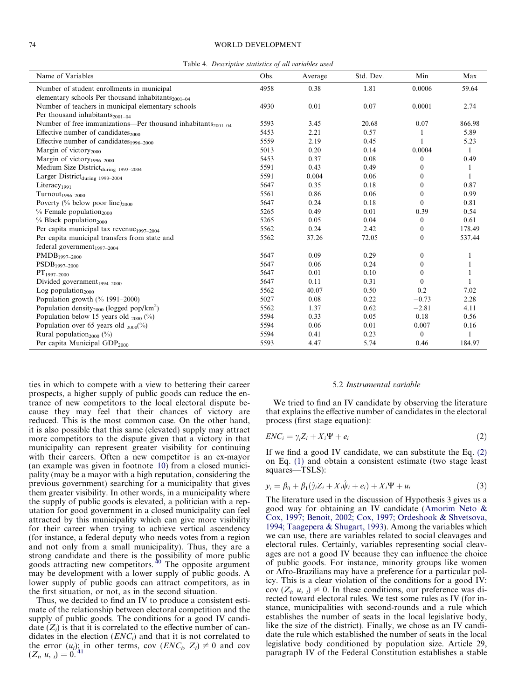## <span id="page-7-0"></span>74 WORLD DEVELOPMENT

Table 4. Descriptive statistics of all variables used

| Name of Variables                                                        | Obs. | Average | Std. Dev. | Min              | Max          |
|--------------------------------------------------------------------------|------|---------|-----------|------------------|--------------|
| Number of student enrollments in municipal                               | 4958 | 0.38    | 1.81      | 0.0006           | 59.64        |
| elementary schools Per thousand inhabitants <sub>2001-04</sub>           |      |         |           |                  |              |
| Number of teachers in municipal elementary schools                       | 4930 | 0.01    | 0.07      | 0.0001           | 2.74         |
| Per thousand inhabitants <sub>2001-04</sub>                              |      |         |           |                  |              |
| Number of free immunizations-Per thousand inhabitants <sub>2001-04</sub> | 5593 | 3.45    | 20.68     | 0.07             | 866.98       |
| Effective number of candidates <sub>2000</sub>                           | 5453 | 2.21    | 0.57      |                  | 5.89         |
| Effective number of candidates <sub>1996-2000</sub>                      | 5559 | 2.19    | 0.45      |                  | 5.23         |
| Margin of victory <sub>2000</sub>                                        | 5013 | 0.20    | 0.14      | 0.0004           | $\mathbf{1}$ |
| Margin of victory <sub>1996-2000</sub>                                   | 5453 | 0.37    | 0.08      | $\mathbf{0}$     | 0.49         |
| Medium Size District <sub>during 1993-2004</sub>                         | 5591 | 0.43    | 0.49      | $\mathbf{0}$     |              |
| Larger District <sub>during 1993-2004</sub>                              | 5591 | 0.004   | 0.06      | $\mathbf{0}$     |              |
| Literacy <sub>1991</sub>                                                 | 5647 | 0.35    | 0.18      | $\mathbf{0}$     | 0.87         |
| Turnout <sub>1996-2000</sub>                                             | 5561 | 0.86    | 0.06      | $\boldsymbol{0}$ | 0.99         |
| Poverty (% below poor line) <sub>2000</sub>                              | 5647 | 0.24    | 0.18      | $\theta$         | 0.81         |
| $%$ Female population <sub>2000</sub>                                    | 5265 | 0.49    | 0.01      | 0.39             | 0.54         |
| $%$ Black population <sub>2000</sub>                                     | 5265 | 0.05    | 0.04      | $\boldsymbol{0}$ | 0.61         |
| Per capita municipal tax revenue $_{1997-2004}$                          | 5562 | 0.24    | 2.42      | $\mathbf{0}$     | 178.49       |
| Per capita municipal transfers from state and                            | 5562 | 37.26   | 72.05     | $\mathbf{0}$     | 537.44       |
| federal government <sub>1997-2004</sub>                                  |      |         |           |                  |              |
| PMDB <sub>1997-2000</sub>                                                | 5647 | 0.09    | 0.29      | $\boldsymbol{0}$ |              |
| $\mathrm{PSDB}_{1997-2000}$                                              | 5647 | 0.06    | 0.24      | $\mathbf{0}$     |              |
| $PT_{1997-2000}$                                                         | 5647 | 0.01    | 0.10      | $\mathbf{0}$     |              |
| Divided government <sub>1994-2000</sub>                                  | 5647 | 0.11    | 0.31      | $\theta$         |              |
| Log population <sub>2000</sub>                                           | 5562 | 40.07   | 0.50      | 0.2              | 7.02         |
| Population growth $(\% 1991 - 2000)$                                     | 5027 | 0.08    | 0.22      | $-0.73$          | 2.28         |
| Population density <sub>2000</sub> (logged pop/km <sup>2</sup> )         | 5562 | 1.37    | 0.62      | $-2.81$          | 4.11         |
| Population below 15 years old $_{2000}$ (%)                              | 5594 | 0.33    | 0.05      | 0.18             | 0.56         |
| Population over 65 years old $_{2000}$ <sup>(%)</sup>                    | 5594 | 0.06    | 0.01      | 0.007            | 0.16         |
| Rural population <sub>2000</sub> $(\%)$                                  | 5594 | 0.41    | 0.23      | $\theta$         |              |
| Per capita Municipal GDP <sub>2000</sub>                                 | 5593 | 4.47    | 5.74      | 0.46             | 184.97       |

ties in which to compete with a view to bettering their career prospects, a higher supply of public goods can reduce the entrance of new competitors to the local electoral dispute because they may feel that their chances of victory are reduced. This is the most common case. On the other hand, it is also possible that this same (elevated) supply may attract more competitors to the dispute given that a victory in that municipality can represent greater visibility for continuing with their careers. Often a new competitor is an ex-mayor (an example was given in footnote  $10$ ) from a closed municipality (may be a mayor with a high reputation, considering the previous government) searching for a municipality that gives them greater visibility. In other words, in a municipality where the supply of public goods is elevated, a politician with a reputation for good government in a closed municipality can feel attracted by this municipality which can give more visibility for their career when trying to achieve vertical ascendency (for instance, a federal deputy who needs votes from a region and not only from a small municipality). Thus, they are a strong candidate and there is the possibility of more public goods attracting new competitors.<sup>40</sup> The opposite argument may be development with a lower supply of public goods. A lower supply of public goods can attract competitors, as in the first situation, or not, as in the second situation.

Thus, we decided to find an IV to produce a consistent estimate of the relationship between electoral competition and the supply of public goods. The conditions for a good IV candidate  $(Z_i)$  is that it is correlated to the effective number of candidates in the election  $(ENC_i)$  and that it is not correlated to the error  $(u_i)$ ; in other terms, cov  $(ENC_i, Z_i) \neq 0$  and cov  $(Z_i, u_{i,j}) = 0$ .

#### 5.2 Instrumental variable

We tried to find an IV candidate by observing the literature that explains the effective number of candidates in the electoral process (first stage equation):

$$
ENC_i = \gamma_i Z_i + X_i \Psi + e_i \tag{2}
$$

If we find a good IV candidate, we can substitute the Eq. (2) on Eq. [\(1\)](#page-6-0) and obtain a consistent estimate (two stage least squares—TSLS):

$$
y_i = \beta_0 + \beta_1(\hat{\gamma}_i Z_i + X_i \hat{\psi}_i + e_i) + X_i \Psi + u_i \tag{3}
$$

The literature used in the discussion of Hypothesis 3 gives us a good way for obtaining an IV candidate [\(Amorim Neto &](#page-14-0) [Cox, 1997; Benoit, 2002; Cox, 1997; Ordeshook & Shvetsova,](#page-14-0) [1994; Taagepera & Shugart, 1993](#page-14-0)). Among the variables which we can use, there are variables related to social cleavages and electoral rules. Certainly, variables representing social cleavages are not a good IV because they can influence the choice of public goods. For instance, minority groups like women or Afro-Brazilians may have a preference for a particular policy. This is a clear violation of the conditions for a good IV: cov  $(Z_i, u, j) \neq 0$ . In these conditions, our preference was directed toward electoral rules. We test some rules as IV (for instance, municipalities with second-rounds and a rule which establishes the number of seats in the local legislative body, like the size of the district). Finally, we chose as an IV candidate the rule which established the number of seats in the local legislative body conditioned by population size. Article 29, paragraph IV of the Federal Constitution establishes a stable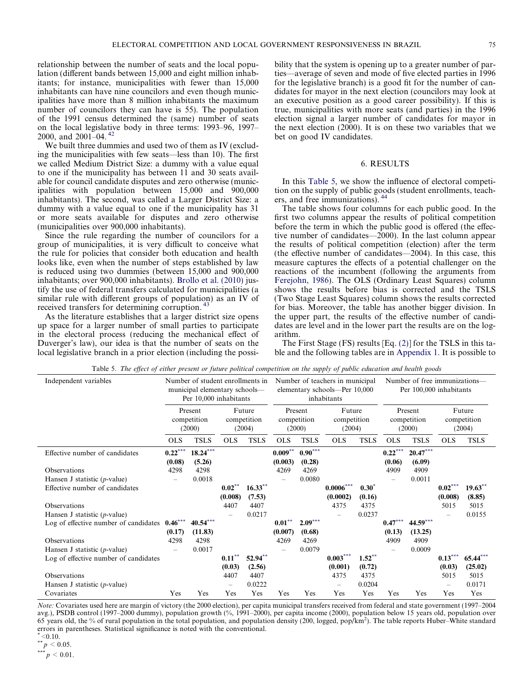<span id="page-8-0"></span>relationship between the number of seats and the local population (different bands between 15,000 and eight million inhabitants; for instance, municipalities with fewer than 15,000 inhabitants can have nine councilors and even though municipalities have more than 8 million inhabitants the maximum number of councilors they can have is 55). The population of the 1991 census determined the (same) number of seats on the local legislative body in three terms: 1993–96, 1997– 2000, and 2001–04. <sup>42</sup>

We built three dummies and used two of them as IV (excluding the municipalities with few seats—less than 10). The first we called Medium District Size: a dummy with a value equal to one if the municipality has between 11 and 30 seats available for council candidate disputes and zero otherwise (municipalities with population between 15,000 and 900,000 inhabitants). The second, was called a Larger District Size: a dummy with a value equal to one if the municipality has 31 or more seats available for disputes and zero otherwise (municipalities over 900,000 inhabitants).

Since the rule regarding the number of councilors for a group of municipalities, it is very difficult to conceive what the rule for policies that consider both education and health looks like, even when the number of steps established by law is reduced using two dummies (between 15,000 and 900,000 inhabitants; over 900,000 inhabitants). [Brollo et al. \(2010\)](#page-15-0) justify the use of federal transfers calculated for municipalities (a similar rule with different groups of population) as an IV of received transfers for determining corruption.

As the literature establishes that a larger district size opens up space for a larger number of small parties to participate in the electoral process (reducing the mechanical effect of Duverger's law), our idea is that the number of seats on the local legislative branch in a prior election (including the possibility that the system is opening up to a greater number of parties—average of seven and mode of five elected parties in 1996 for the legislative branch) is a good fit for the number of candidates for mayor in the next election (councilors may look at an executive position as a good career possibility). If this is true, municipalities with more seats (and parties) in the 1996 election signal a larger number of candidates for mayor in the next election (2000). It is on these two variables that we bet on good IV candidates.

## 6. RESULTS

In this Table 5, we show the influence of electoral competition on the supply of public goods (student enrollments, teachers, and free immunizations). <sup>44</sup>

The table shows four columns for each public good. In the first two columns appear the results of political competition before the term in which the public good is offered (the effective number of candidates—2000). In the last column appear the results of political competition (election) after the term (the effective number of candidates—2004). In this case, this measure captures the effects of a potential challenger on the reactions of the incumbent (following the arguments from [Ferejohn, 1986](#page-15-0)). The OLS (Ordinary Least Squares) column shows the results before bias is corrected and the TSLS (Two Stage Least Squares) column shows the results corrected for bias. Moreover, the table has another bigger division. In the upper part, the results of the effective number of candidates are level and in the lower part the results are on the logarithm.

The First Stage (FS) results [Eq. [\(2\)\]](#page-7-0) for the TSLS in this table and the following tables are in Appendix 1. It is possible to

Table 5. The effect of either present or future political competition on the supply of public education and health goods

| таже э. тие едест орентен риемин он рание роннсаг сотрепной он те мирру оррадстваной ана неани goods |                     |                                                                                             |                          |                                 |                       |                                  |                                                                                 |                                 |                                                          |                                  |                                 |             |
|------------------------------------------------------------------------------------------------------|---------------------|---------------------------------------------------------------------------------------------|--------------------------|---------------------------------|-----------------------|----------------------------------|---------------------------------------------------------------------------------|---------------------------------|----------------------------------------------------------|----------------------------------|---------------------------------|-------------|
| Independent variables                                                                                |                     | Number of student enrollments in<br>municipal elementary schools-<br>Per 10,000 inhabitants |                          |                                 |                       |                                  | Number of teachers in municipal<br>elementary schools—Per 10,000<br>inhabitants |                                 | Number of free immunizations—<br>Per 100,000 inhabitants |                                  |                                 |             |
|                                                                                                      |                     | Present<br>competition<br>(2000)                                                            |                          | Future<br>competition<br>(2004) |                       | Present<br>competition<br>(2000) |                                                                                 | Future<br>competition<br>(2004) |                                                          | Present<br>competition<br>(2000) | Future<br>competition<br>(2004) |             |
|                                                                                                      | <b>OLS</b>          | <b>TSLS</b>                                                                                 | <b>OLS</b>               | <b>TSLS</b>                     | <b>OLS</b>            | <b>TSLS</b>                      | <b>OLS</b>                                                                      | <b>TSLS</b>                     | <b>OLS</b>                                               | <b>TSLS</b>                      | <b>OLS</b>                      | <b>TSLS</b> |
| Effective number of candidates                                                                       | $0.22***$<br>(0.08) | $18.24***$<br>(5.26)                                                                        |                          |                                 | $0.009***$<br>(0.003) | $0.90***$<br>(0.28)              |                                                                                 |                                 | $0.22***$<br>(0.06)                                      | $20.47***$<br>(6.09)             |                                 |             |
| <b>Observations</b>                                                                                  | 4298                | 4298                                                                                        |                          |                                 | 4269                  | 4269                             |                                                                                 |                                 | 4909                                                     | 4909                             |                                 |             |
| Hansen J statistic $(p$ -value)                                                                      |                     | 0.0018                                                                                      |                          |                                 |                       | 0.0080                           |                                                                                 |                                 |                                                          | 0.0011                           |                                 |             |
| Effective number of candidates                                                                       |                     |                                                                                             | $0.02***$                | $16.33***$                      |                       |                                  | $0.0006^{***}$                                                                  | $0.30*$                         |                                                          |                                  | $0.02***$                       | $19.63***$  |
|                                                                                                      |                     |                                                                                             | (0.008)                  | (7.53)                          |                       |                                  | (0.0002)                                                                        | (0.16)                          |                                                          |                                  | (0.008)                         | (8.85)      |
| <b>Observations</b>                                                                                  |                     |                                                                                             | 4407                     | 4407                            |                       |                                  | 4375                                                                            | 4375                            |                                                          |                                  | 5015                            | 5015        |
| Hansen J statistic $(p$ -value)                                                                      |                     |                                                                                             |                          | 0.0217                          |                       |                                  |                                                                                 | 0.0237                          |                                                          |                                  |                                 | 0.0155      |
| Log of effective number of candidates                                                                | $0.46***$           | $40.54***$                                                                                  |                          |                                 | $0.01***$             | $2.09***$                        |                                                                                 |                                 | $0.47***$                                                | $44.59***$                       |                                 |             |
|                                                                                                      | (0.17)              | (11.83)                                                                                     |                          |                                 | (0.007)               | (0.68)                           |                                                                                 |                                 | (0.13)                                                   | (13.25)                          |                                 |             |
| Observations                                                                                         | 4298                | 4298                                                                                        |                          |                                 | 4269                  | 4269                             |                                                                                 |                                 | 4909                                                     | 4909                             |                                 |             |
| Hansen J statistic $(p$ -value)                                                                      |                     | 0.0017                                                                                      |                          |                                 |                       | 0.0079                           |                                                                                 |                                 |                                                          | 0.0009                           |                                 |             |
| Log of effective number of candidates                                                                |                     |                                                                                             | $0.11***$                | $52.94***$                      |                       |                                  | $0.003***$                                                                      | $1.52***$                       |                                                          |                                  | $0.13***$                       | $65.44***$  |
|                                                                                                      |                     |                                                                                             | (0.03)                   | (2.56)                          |                       |                                  | (0.001)                                                                         | (0.72)                          |                                                          |                                  | (0.03)                          | (25.02)     |
| <b>Observations</b>                                                                                  |                     |                                                                                             | 4407                     | 4407                            |                       |                                  | 4375                                                                            | 4375                            |                                                          |                                  | 5015                            | 5015        |
| Hansen J statistic $(p$ -value)                                                                      |                     |                                                                                             | $\overline{\phantom{0}}$ | 0.0222                          |                       |                                  |                                                                                 | 0.0204                          |                                                          |                                  |                                 | 0.0171      |
| Covariates                                                                                           | Yes                 | Yes                                                                                         | Yes                      | Yes                             | Yes                   | Yes                              | Yes                                                                             | Yes                             | Yes                                                      | Yes                              | Yes                             | Yes         |

Note: Covariates used here are margin of victory (the 2000 election), per capita municipal transfers received from federal and state government (1997–2004 avg.), PSDB control (1997–2000 dummy), population growth (%, 1991–2000), per capita income (2000), population below 15 years old, population over 65 years old, the % of rural population in the total population, and population density (200, logged, pop/km<sup>2</sup>). The table reports Huber–White standard errors in parentheses. Statistical significance is noted with the conventional.  $*<sub>0.10</sub>$ 

 $*$  \*  $p < 0.05$ .

 $\overline{a}$ 

 $p^* \geq 0.01$ .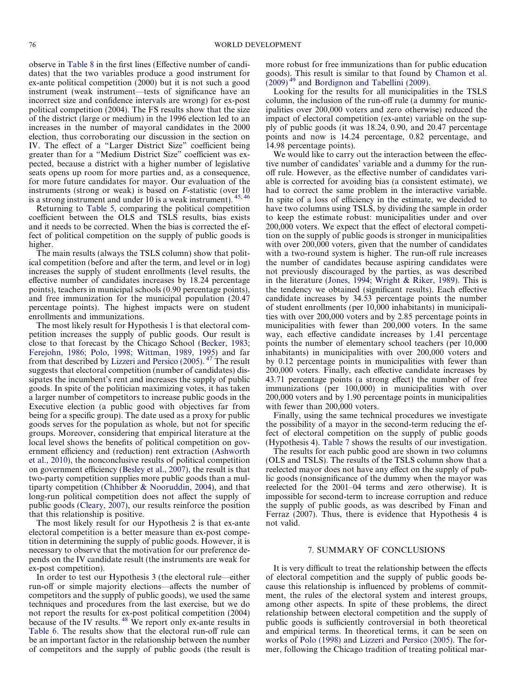observe in [Table 8](#page-16-0) in the first lines (Effective number of candidates) that the two variables produce a good instrument for ex-ante political competition (2000) but it is not such a good instrument (weak instrument—tests of significance have an incorrect size and confidence intervals are wrong) for ex-post political competition (2004). The FS results show that the size of the district (large or medium) in the 1996 election led to an increases in the number of mayoral candidates in the 2000 election, thus corroborating our discussion in the section on IV. The effect of a "Larger District Size" coefficient being greater than for a "Medium District Size" coefficient was expected, because a district with a higher number of legislative seats opens up room for more parties and, as a consequence, for more future candidates for mayor. Our evaluation of the instruments (strong or weak) is based on F-statistic (over 10 is a strong instrument and under 10 is a weak instrument). <sup>45, 46</sup>

Returning to [Table 5,](#page-8-0) comparing the political competition coefficient between the OLS and TSLS results, bias exists and it needs to be corrected. When the bias is corrected the effect of political competition on the supply of public goods is higher.

The main results (always the TSLS column) show that political competition (before and after the term, and level or in log) increases the supply of student enrollments (level results, the effective number of candidates increases by 18.24 percentage points), teachers in municipal schools (0.90 percentage points), and free immunization for the municipal population (20.47 percentage points). The highest impacts were on student enrollments and immunizations.

The most likely result for Hypothesis 1 is that electoral competition increases the supply of public goods. Our result is close to that forecast by the Chicago School [\(Becker, 1983;](#page-14-0) [Ferejohn, 1986; Polo, 1998; Wittman, 1989, 1995](#page-14-0)) and far from that described by Lizzeri and Persico  $(2005)$ .<sup>47</sup> The result suggests that electoral competition (number of candidates) dissipates the incumbent's rent and increases the supply of public goods. In spite of the politician maximizing votes, it has taken a larger number of competitors to increase public goods in the Executive election (a public good with objectives far from being for a specific group). The date used as a proxy for public goods serves for the population as whole, but not for specific groups. Moreover, considering that empirical literature at the local level shows the benefits of political competition on government efficiency and (reduction) rent extraction ([Ashworth](#page-14-0) [et al., 2010\)](#page-14-0), the nonconclusive results of political competition on government efficiency ([Besley et al., 2007\)](#page-14-0), the result is that two-party competition supplies more public goods than a multiparty competition [\(Chhibber & Nooruddin, 2004](#page-15-0)), and that long-run political competition does not affect the supply of public goods ([Cleary, 2007\)](#page-15-0), our results reinforce the position that this relationship is positive.

The most likely result for our Hypothesis 2 is that ex-ante electoral competition is a better measure than ex-post competition in determining the supply of public goods. However, it is necessary to observe that the motivation for our preference depends on the IV candidate result (the instruments are weak for ex-post competition).

In order to test our Hypothesis 3 (the electoral rule—either run-off or simple majority elections—affects the number of competitors and the supply of public goods), we used the same techniques and procedures from the last exercise, but we do not report the results for ex-post political competition (2004) because of the IV results.<sup>48</sup> We report only ex-ante results in [Table 6](#page-10-0). The results show that the electoral run-off rule can be an important factor in the relationship between the number of competitors and the supply of public goods (the result is more robust for free immunizations than for public education goods). This result is similar to that found by [Chamon et al.](#page-15-0)  $(2009)^{49}$  $(2009)^{49}$  and [Bordignon and Tabellini \(2009\)](#page-15-0).

Looking for the results for all municipalities in the TSLS column, the inclusion of the run-off rule (a dummy for municipalities over 200,000 voters and zero otherwise) reduced the impact of electoral competition (ex-ante) variable on the supply of public goods (it was 18.24, 0.90, and 20.47 percentage points and now is 14.24 percentage, 0.82 percentage, and 14.98 percentage points).

We would like to carry out the interaction between the effective number of candidates' variable and a dummy for the runoff rule. However, as the effective number of candidates variable is corrected for avoiding bias (a consistent estimate), we had to correct the same problem in the interactive variable. In spite of a loss of efficiency in the estimate, we decided to have two columns using TSLS, by dividing the sample in order to keep the estimate robust: municipalities under and over 200,000 voters. We expect that the effect of electoral competition on the supply of public goods is stronger in municipalities with over 200,000 voters, given that the number of candidates with a two-round system is higher. The run-off rule increases the number of candidates because aspiring candidates were not previously discouraged by the parties, as was described in the literature [\(Jones, 1994; Wright & Riker, 1989](#page-15-0)). This is the tendency we obtained (significant results). Each effective candidate increases by 34.53 percentage points the number of student enrollments (per 10,000 inhabitants) in municipalities with over 200,000 voters and by 2.85 percentage points in municipalities with fewer than 200,000 voters. In the same way, each effective candidate increases by 1.41 percentage points the number of elementary school teachers (per 10,000 inhabitants) in municipalities with over 200,000 voters and by 0.12 percentage points in municipalities with fewer than 200,000 voters. Finally, each effective candidate increases by 43.71 percentage points (a strong effect) the number of free immunizations (per 100,000) in municipalities with over 200,000 voters and by 1.90 percentage points in municipalities with fewer than 200,000 voters.

Finally, using the same technical procedures we investigate the possibility of a mayor in the second-term reducing the effect of electoral competition on the supply of public goods (Hypothesis 4). [Table 7](#page-11-0) shows the results of our investigation.

The results for each public good are shown in two columns (OLS and TSLS). The results of the TSLS column show that a reelected mayor does not have any effect on the supply of public goods (nonsignificance of the dummy when the mayor was reelected for the 2001–04 terms and zero otherwise). It is impossible for second-term to increase corruption and reduce the supply of public goods, as was described by Finan and Ferraz (2007). Thus, there is evidence that Hypothesis 4 is not valid.

# 7. SUMMARY OF CONCLUSIONS

It is very difficult to treat the relationship between the effects of electoral competition and the supply of public goods because this relationship is influenced by problems of commitment, the rules of the electoral system and interest groups, among other aspects. In spite of these problems, the direct relationship between electoral competition and the supply of public goods is sufficiently controversial in both theoretical and empirical terms. In theoretical terms, it can be seen on works of [Polo \(1998\)](#page-15-0) and [Lizzeri and Persico \(2005\).](#page-15-0) The former, following the Chicago tradition of treating political mar-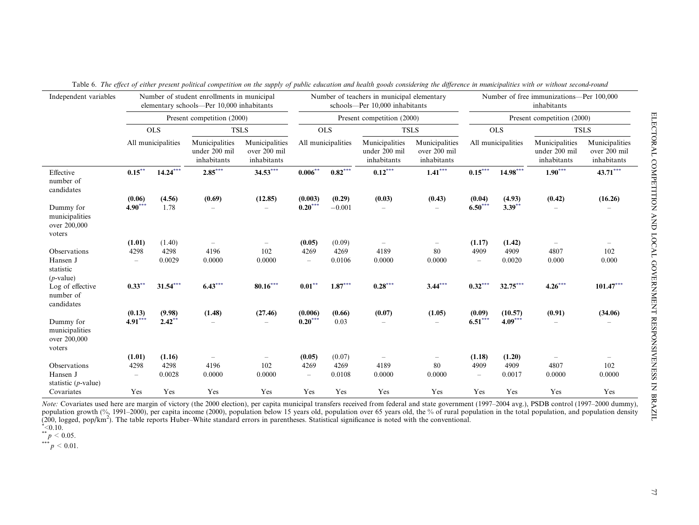| Independent variables                                 |                          |            | Number of student enrollments in municipal<br>elementary schools—Per 10,000 inhabitants |                                               |                                  |           | Number of teachers in municipal elementary<br>schools—Per 10,000 inhabitants |                                               | Number of free immunizations—Per 100,000<br>inhabitants |            |                                                |                                               |  |  |
|-------------------------------------------------------|--------------------------|------------|-----------------------------------------------------------------------------------------|-----------------------------------------------|----------------------------------|-----------|------------------------------------------------------------------------------|-----------------------------------------------|---------------------------------------------------------|------------|------------------------------------------------|-----------------------------------------------|--|--|
|                                                       |                          |            | Present competition (2000)                                                              |                                               | Present competition (2000)       |           |                                                                              |                                               | Present competition (2000)                              |            |                                                |                                               |  |  |
|                                                       |                          | <b>OLS</b> | <b>TSLS</b>                                                                             |                                               | <b>OLS</b><br>All municipalities |           | <b>TSLS</b>                                                                  |                                               | <b>OLS</b>                                              |            | <b>TSLS</b>                                    |                                               |  |  |
|                                                       | All municipalities       |            | Municipalities<br>under 200 mil<br>inhabitants                                          | Municipalities<br>over 200 mil<br>inhabitants |                                  |           | Municipalities<br>under 200 mil<br>inhabitants                               | Municipalities<br>over 200 mil<br>inhabitants | All municipalities                                      |            | Municipalities<br>under 200 mil<br>inhabitants | Municipalities<br>over 200 mil<br>inhabitants |  |  |
| Effective<br>number of<br>candidates                  | $0.15***$                | $14.24***$ | $2.85***$                                                                               | $34.53***$                                    | $0.006***$                       | $0.82***$ | $0.12***$                                                                    | $1.41***$                                     | $0.15***$                                               | $14.98***$ | $1.90***$                                      | $43.71***$                                    |  |  |
|                                                       | (0.06)                   | (4.56)     | (0.69)                                                                                  | (12.85)                                       | (0.003)                          | (0.29)    | (0.03)                                                                       | (0.43)                                        | (0.04)                                                  | (4.93)     | (0.42)                                         | (16.26)                                       |  |  |
| Dummy for<br>municipalities<br>over 200,000<br>voters | $4.90***$                | 1.78       |                                                                                         |                                               | $0.20***$                        | $-0.001$  |                                                                              | $\overline{\phantom{0}}$                      | $6.50***$                                               | $3.39**$   |                                                |                                               |  |  |
|                                                       | (1.01)                   | (1.40)     | $\overline{\phantom{m}}$                                                                | $\hspace{1.0cm} - \hspace{1.0cm}$             | (0.05)                           | (0.09)    |                                                                              | $\overline{\phantom{m}}$                      | (1.17)                                                  | (1.42)     |                                                |                                               |  |  |
| Observations                                          | 4298                     | 4298       | 4196                                                                                    | 102                                           | 4269                             | 4269      | 4189                                                                         | 80                                            | 4909                                                    | 4909       | 4807                                           | 102                                           |  |  |
| Hansen J<br>statistic<br>$(p$ -value)                 | $\overline{\phantom{0}}$ | 0.0029     | 0.0000                                                                                  | 0.0000                                        | $\overline{\phantom{m}}$         | 0.0106    | 0.0000                                                                       | 0.0000                                        | $\overline{\phantom{m}}$                                | 0.0020     | 0.000                                          | 0.000                                         |  |  |
| Log of effective<br>number of<br>candidates           | $0.33***$                | $31.54***$ | $6.43***$                                                                               | $80.16***$                                    | $0.01***$                        | $1.87***$ | $0.28***$                                                                    | $3.44***$                                     | $0.32***$                                               | $32.75***$ | $4.26***$                                      | $101.47***$                                   |  |  |
|                                                       | (0.13)                   | (9.98)     | (1.48)                                                                                  | (27.46)                                       | (0.006)                          | (0.66)    | (0.07)                                                                       | (1.05)                                        | (0.09)                                                  | (10.57)    | (0.91)                                         | (34.06)                                       |  |  |
| Dummy for<br>municipalities<br>over 200,000<br>voters | $4.91***$                | $2.42***$  | $\overline{\phantom{0}}$                                                                | $\overline{\phantom{0}}$                      | $0.20***$                        | 0.03      |                                                                              | $\overline{\phantom{m}}$                      | $6.51***$                                               | $4.09***$  |                                                |                                               |  |  |
|                                                       | (1.01)                   | (1.16)     |                                                                                         |                                               | (0.05)                           | (0.07)    |                                                                              |                                               | (1.18)                                                  | (1.20)     |                                                |                                               |  |  |
| Observations                                          | 4298                     | 4298       | 4196                                                                                    | 102                                           | 4269                             | 4269      | 4189                                                                         | 80                                            | 4909                                                    | 4909       | 4807                                           | 102                                           |  |  |
| Hansen J<br>statistic $(p$ -value)                    | $\overline{\phantom{0}}$ | 0.0028     | 0.0000                                                                                  | 0.0000                                        | $\overline{\phantom{m}}$         | 0.0108    | 0.0000                                                                       | 0.0000                                        | $\overline{\phantom{m}}$                                | 0.0017     | 0.0000                                         | 0.0000                                        |  |  |
| Covariates                                            | Yes                      | Yes        | Yes                                                                                     | Yes                                           | Yes                              | Yes       | Yes                                                                          | Yes                                           | Yes                                                     | Yes        | Yes                                            | Yes                                           |  |  |

<span id="page-10-0"></span>Table 6. The effect of either present political competition on the supply of public education and health goods considering the difference in municipalities with or without second-round

Note: Covariates used here are margin of victory (the 2000 election), per capita municipal transfers received from federal and state government (1997–2004 avg.), PSDB control (1997–2000 dummy), population growth (%, 1991–2000), per capita income (2000), population below 15 years old, population over 65 years old, the % of rural population in the total population, and population density (200, logged, pop/km<sup>2</sup>). The table reports Huber–White standard errors in parentheses. Statistical significance is noted with the conventional.<br>\*<0.10.<br>\*\* p < 0.05.

 $*** p < 0.01$ .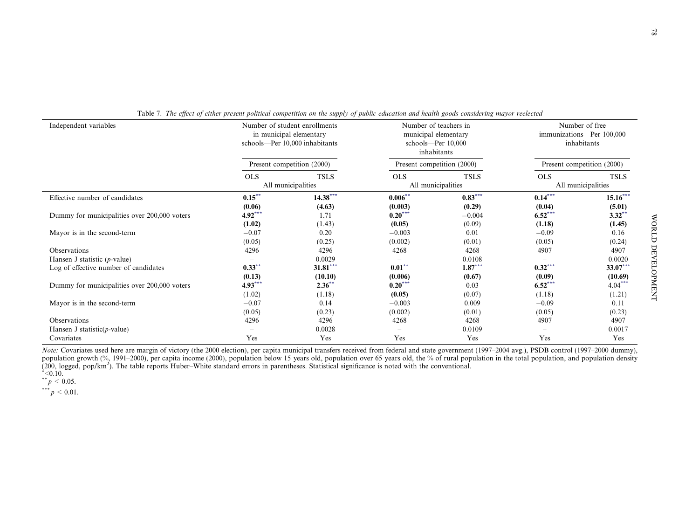<span id="page-11-0"></span>

| Independent variables                        |                     | Number of student enrollments<br>in municipal elementary<br>schools—Per 10,000 inhabitants |                       | Number of teachers in<br>municipal elementary<br>schools-Per 10,000<br>inhabitants | Number of free<br>immunizations-Per 100,000<br>inhabitants<br>Present competition (2000) |                                   |  |
|----------------------------------------------|---------------------|--------------------------------------------------------------------------------------------|-----------------------|------------------------------------------------------------------------------------|------------------------------------------------------------------------------------------|-----------------------------------|--|
|                                              |                     | Present competition (2000)                                                                 |                       | Present competition (2000)                                                         |                                                                                          |                                   |  |
|                                              | <b>OLS</b>          | <b>TSLS</b><br>All municipalities                                                          | <b>OLS</b>            | <b>TSLS</b><br>All municipalities                                                  | <b>OLS</b>                                                                               | <b>TSLS</b><br>All municipalities |  |
| Effective number of candidates               | $0.15***$<br>(0.06) | $14.38***$<br>(4.63)                                                                       | $0.006***$<br>(0.003) | $0.83***$<br>(0.29)                                                                | $0.14***$<br>(0.04)                                                                      | $15.16***$<br>(5.01)              |  |
| Dummy for municipalities over 200,000 voters | $4.92***$<br>(1.02) | 1.71<br>(1.43)                                                                             | $0.20***$<br>(0.05)   | $-0.004$<br>(0.09)                                                                 | $6.52***$<br>(1.18)                                                                      | $3.32***$<br>(1.45)               |  |
| Mayor is in the second-term                  | $-0.07$<br>(0.05)   | 0.20<br>(0.25)                                                                             | $-0.003$<br>(0.002)   | 0.01<br>(0.01)                                                                     | $-0.09$<br>(0.05)                                                                        | 0.16<br>(0.24)                    |  |
| <b>Observations</b>                          | 4296                | 4296                                                                                       | 4268                  | 4268                                                                               | 4907                                                                                     | 4907                              |  |
| Hansen J statistic $(p$ -value)              |                     | 0.0029                                                                                     |                       | 0.0108                                                                             |                                                                                          | 0.0020                            |  |
| Log of effective number of candidates        | $0.33***$<br>(0.13) | $31.81***$<br>(10.10)                                                                      | $0.01***$<br>(0.006)  | $1.87***$<br>(0.67)                                                                | $0.32***$<br>(0.09)                                                                      | $33.07***$<br>(10.69)             |  |
| Dummy for municipalities over 200,000 voters | $4.93***$<br>(1.02) | $2.36***$<br>(1.18)                                                                        | $0.20***$<br>(0.05)   | 0.03<br>(0.07)                                                                     | $6.52***$<br>(1.18)                                                                      | $4.04***$<br>(1.21)               |  |
| Mayor is in the second-term                  | $-0.07$<br>(0.05)   | 0.14<br>(0.23)                                                                             | $-0.003$<br>(0.002)   | 0.009<br>(0.01)                                                                    | $-0.09$<br>(0.05)                                                                        | 0.11<br>(0.23)                    |  |
| Observations                                 | 4296                | 4296                                                                                       | 4268                  | 4268                                                                               | 4907                                                                                     | 4907                              |  |
| Hansen J statistic( $p$ -value)              |                     | 0.0028                                                                                     |                       | 0.0109                                                                             |                                                                                          | 0.0017                            |  |
| Covariates                                   | Yes                 | Yes                                                                                        | Yes                   | Yes                                                                                | Yes                                                                                      | Yes                               |  |

Table 7. The effect of either present political competition on the supply of public education and health goods considering mayor reelected

Note: Covariates used here are margin of victory (the 2000 election), per capita municipal transfers received from federal and state government (1997–2004 avg.), PSDB control (1997–2000 dummy), population growth (%, 1991–2000), per capita income (2000), population below 15 years old, population over 65 years old, the % of rural population in the total population, and population density (200, logged, pop/km2). The table reports Huber–White standard errors in parentheses. Statistical significance is noted with the conventional.

\* $< 0.10$ .<br>\*\*  $p < 0.05$ .<br>\*\*\*  $p < 0.01$ .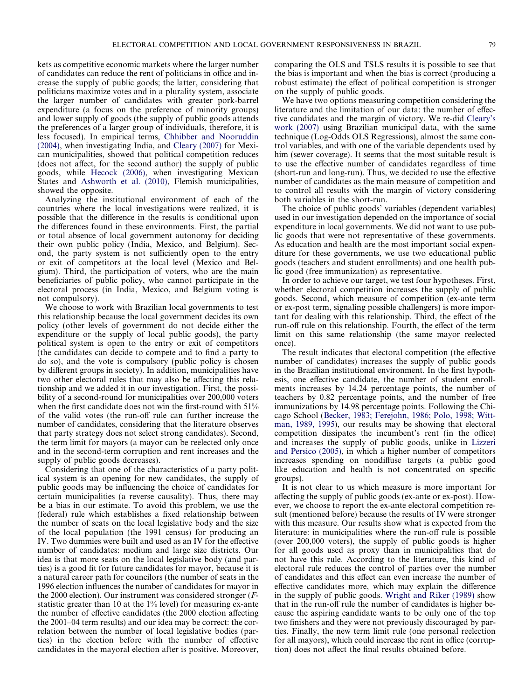kets as competitive economic markets where the larger number of candidates can reduce the rent of politicians in office and increase the supply of public goods; the latter, considering that politicians maximize votes and in a plurality system, associate the larger number of candidates with greater pork-barrel expenditure (a focus on the preference of minority groups) and lower supply of goods (the supply of public goods attends the preferences of a larger group of individuals, therefore, it is less focused). In empirical terms, [Chhibber and Nooruddin](#page-15-0) [\(2004\),](#page-15-0) when investigating India, and [Cleary \(2007\)](#page-15-0) for Mexican municipalities, showed that political competition reduces (does not affect, for the second author) the supply of public goods, while [Hecock \(2006\),](#page-15-0) when investigating Mexican States and [Ashworth et al. \(2010\),](#page-14-0) Flemish municipalities, showed the opposite.

Analyzing the institutional environment of each of the countries where the local investigations were realized, it is possible that the difference in the results is conditional upon the differences found in these environments. First, the partial or total absence of local government autonomy for deciding their own public policy (India, Mexico, and Belgium). Second, the party system is not sufficiently open to the entry or exit of competitors at the local level (Mexico and Belgium). Third, the participation of voters, who are the main beneficiaries of public policy, who cannot participate in the electoral process (in India, Mexico, and Belgium voting is not compulsory).

We choose to work with Brazilian local governments to test this relationship because the local government decides its own policy (other levels of government do not decide either the expenditure or the supply of local public goods), the party political system is open to the entry or exit of competitors (the candidates can decide to compete and to find a party to do so), and the vote is compulsory (public policy is chosen by different groups in society). In addition, municipalities have two other electoral rules that may also be affecting this relationship and we added it in our investigation. First, the possibility of a second-round for municipalities over 200,000 voters when the first candidate does not win the first-round with 51% of the valid votes (the run-off rule can further increase the number of candidates, considering that the literature observes that party strategy does not select strong candidates). Second, the term limit for mayors (a mayor can be reelected only once and in the second-term corruption and rent increases and the supply of public goods decreases).

Considering that one of the characteristics of a party political system is an opening for new candidates, the supply of public goods may be influencing the choice of candidates for certain municipalities (a reverse causality). Thus, there may be a bias in our estimate. To avoid this problem, we use the (federal) rule which establishes a fixed relationship between the number of seats on the local legislative body and the size of the local population (the 1991 census) for producing an IV. Two dummies were built and used as an IV for the effective number of candidates: medium and large size districts. Our idea is that more seats on the local legislative body (and parties) is a good fit for future candidates for mayor, because it is a natural career path for councilors (the number of seats in the 1996 election influences the number of candidates for mayor in the 2000 election). Our instrument was considered stronger (Fstatistic greater than 10 at the 1% level) for measuring ex-ante the number of effective candidates (the 2000 election affecting the 2001–04 term results) and our idea may be correct: the correlation between the number of local legislative bodies (parties) in the election before with the number of effective candidates in the mayoral election after is positive. Moreover, comparing the OLS and TSLS results it is possible to see that the bias is important and when the bias is correct (producing a robust estimate) the effect of political competition is stronger on the supply of public goods.

We have two options measuring competition considering the literature and the limitation of our data: the number of effective candidates and the margin of victory. We re-did [Cleary's](#page-15-0) [work \(2007\)](#page-15-0) using Brazilian municipal data, with the same technique (Log-Odds OLS Regressions), almost the same control variables, and with one of the variable dependents used by him (sewer coverage). It seems that the most suitable result is to use the effective number of candidates regardless of time (short-run and long-run). Thus, we decided to use the effective number of candidates as the main measure of competition and to control all results with the margin of victory considering both variables in the short-run.

The choice of public goods' variables (dependent variables) used in our investigation depended on the importance of social expenditure in local governments. We did not want to use public goods that were not representative of these governments. As education and health are the most important social expenditure for these governments, we use two educational public goods (teachers and student enrollments) and one health public good (free immunization) as representative.

In order to achieve our target, we test four hypotheses. First, whether electoral competition increases the supply of public goods. Second, which measure of competition (ex-ante term or ex-post term, signaling possible challengers) is more important for dealing with this relationship. Third, the effect of the run-off rule on this relationship. Fourth, the effect of the term limit on this same relationship (the same mayor reelected once).

The result indicates that electoral competition (the effective number of candidates) increases the supply of public goods in the Brazilian institutional environment. In the first hypothesis, one effective candidate, the number of student enrollments increases by 14.24 percentage points, the number of teachers by 0.82 percentage points, and the number of free immunizations by 14.98 percentage points. Following the Chicago School [\(Becker, 1983; Ferejohn, 1986; Polo, 1998; Witt](#page-14-0)[man, 1989, 1995\)](#page-14-0), our results may be showing that electoral competition dissipates the incumbent's rent (in the office) and increases the supply of public goods, unlike in [Lizzeri](#page-15-0) [and Persico \(2005\),](#page-15-0) in which a higher number of competitors increases spending on nondiffuse targets (a public good like education and health is not concentrated on specific groups).

It is not clear to us which measure is more important for affecting the supply of public goods (ex-ante or ex-post). However, we choose to report the ex-ante electoral competition result (mentioned before) because the results of IV were stronger with this measure. Our results show what is expected from the literature: in municipalities where the run-off rule is possible (over 200,000 voters), the supply of public goods is higher for all goods used as proxy than in municipalities that do not have this rule. According to the literature, this kind of electoral rule reduces the control of parties over the number of candidates and this effect can even increase the number of effective candidates more, which may explain the difference in the supply of public goods. [Wright and Riker \(1989\)](#page-15-0) show that in the run-off rule the number of candidates is higher because the aspiring candidate wants to be only one of the top two finishers and they were not previously discouraged by parties. Finally, the new term limit rule (one personal reelection for all mayors), which could increase the rent in office (corruption) does not affect the final results obtained before.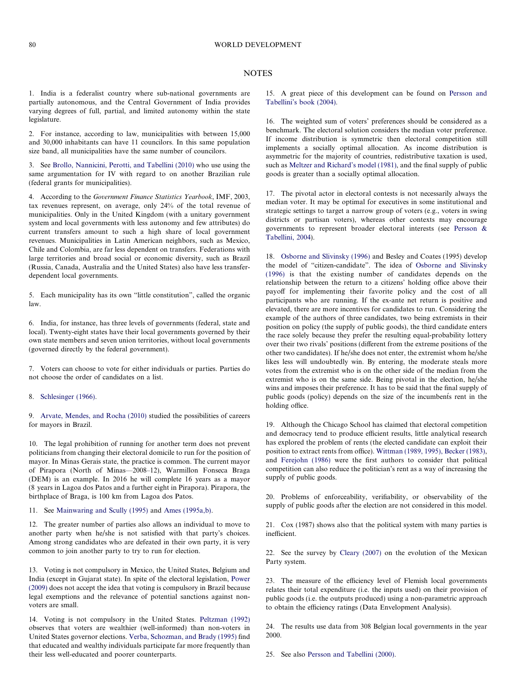# **NOTES**

1. India is a federalist country where sub-national governments are partially autonomous, and the Central Government of India provides varying degrees of full, partial, and limited autonomy within the state legislature.

2. For instance, according to law, municipalities with between 15,000 and 30,000 inhabitants can have 11 councilors. In this same population size band, all municipalities have the same number of councilors.

3. See [Brollo, Nannicini, Perotti, and Tabellini \(2010\)](#page-15-0) who use using the same argumentation for IV with regard to on another Brazilian rule (federal grants for municipalities).

4. According to the Government Finance Statistics Yearbook, IMF, 2003, tax revenues represent, on average, only 24% of the total revenue of municipalities. Only in the United Kingdom (with a unitary government system and local governments with less autonomy and few attributes) do current transfers amount to such a high share of local government revenues. Municipalities in Latin American neighbors, such as Mexico, Chile and Colombia, are far less dependent on transfers. Federations with large territories and broad social or economic diversity, such as Brazil (Russia, Canada, Australia and the United States) also have less transferdependent local governments.

5. Each municipality has its own "little constitution", called the organic law.

6. India, for instance, has three levels of governments (federal, state and local). Twenty-eight states have their local governments governed by their own state members and seven union territories, without local governments (governed directly by the federal government).

7. Voters can choose to vote for either individuals or parties. Parties do not choose the order of candidates on a list.

8. [Schlesinger \(1966\).](#page-15-0)

9. [Arvate, Mendes, and Rocha \(2010\)](#page-14-0) studied the possibilities of careers for mayors in Brazil.

10. The legal prohibition of running for another term does not prevent politicians from changing their electoral domicile to run for the position of mayor. In Minas Gerais state, the practice is common. The current mayor of Pirapora (North of Minas—2008–12), Warmillon Fonseca Braga (DEM) is an example. In 2016 he will complete 16 years as a mayor (8 years in Lagoa dos Patos and a further eight in Pirapora). Pirapora, the birthplace of Braga, is 100 km from Lagoa dos Patos.

## 11. See [Mainwaring and Scully \(1995\)](#page-15-0) and [Ames \(1995a,b\).](#page-14-0)

12. The greater number of parties also allows an individual to move to another party when he/she is not satisfied with that party's choices. Among strong candidates who are defeated in their own party, it is very common to join another party to try to run for election.

13. Voting is not compulsory in Mexico, the United States, Belgium and India (except in Gujarat state). In spite of the electoral legislation, [Power](#page-15-0) [\(2009\)](#page-15-0) does not accept the idea that voting is compulsory in Brazil because legal exemptions and the relevance of potential sanctions against nonvoters are small.

14. Voting is not compulsory in the United States. [Peltzman \(1992\)](#page-15-0) observes that voters are wealthier (well-informed) than non-voters in United States governor elections. [Verba, Schozman, and Brady \(1995\)](#page-15-0) find that educated and wealthy individuals participate far more frequently than their less well-educated and poorer counterparts.

15. A great piece of this development can be found on [Persson and](#page-15-0) [Tabellini's book \(2004\)](#page-15-0).

16. The weighted sum of voters' preferences should be considered as a benchmark. The electoral solution considers the median voter preference. If income distribution is symmetric then electoral competition still implements a socially optimal allocation. As income distribution is asymmetric for the majority of countries, redistributive taxation is used, such as [Meltzer and Richard's model \(1981\),](#page-15-0) and the final supply of public goods is greater than a socially optimal allocation.

17. The pivotal actor in electoral contests is not necessarily always the median voter. It may be optimal for executives in some institutional and strategic settings to target a narrow group of voters (e.g., voters in swing districts or partisan voters), whereas other contexts may encourage governments to represent broader electoral interests (see [Persson &](#page-15-0) [Tabellini, 2004\)](#page-15-0).

18. [Osborne and Slivinsky \(1996\)](#page-15-0) and Besley and Coates (1995) develop the model of "citizen-candidate". The idea of [Osborne and Slivinsky](#page-15-0) [\(1996\)](#page-15-0) is that the existing number of candidates depends on the relationship between the return to a citizens' holding office above their payoff for implementing their favorite policy and the cost of all participants who are running. If the ex-ante net return is positive and elevated, there are more incentives for candidates to run. Considering the example of the authors of three candidates, two being extremists in their position on policy (the supply of public goods), the third candidate enters the race solely because they prefer the resulting equal-probability lottery over their two rivals' positions (different from the extreme positions of the other two candidates). If he/she does not enter, the extremist whom he/she likes less will undoubtedly win. By entering, the moderate steals more votes from the extremist who is on the other side of the median from the extremist who is on the same side. Being pivotal in the election, he/she wins and imposes their preference. It has to be said that the final supply of public goods (policy) depends on the size of the incumbents rent in the holding office.

19. Although the Chicago School has claimed that electoral competition and democracy tend to produce efficient results, little analytical research has explored the problem of rents (the elected candidate can exploit their position to extract rents from office). [Wittman \(1989, 1995\), Becker \(1983\),](#page-15-0) and [Ferejohn \(1986\)](#page-15-0) were the first authors to consider that political competition can also reduce the politician's rent as a way of increasing the supply of public goods.

20. Problems of enforceability, verifiability, or observability of the supply of public goods after the election are not considered in this model.

21. Cox (1987) shows also that the political system with many parties is inefficient.

22. See the survey by [Cleary \(2007\)](#page-15-0) on the evolution of the Mexican Party system.

23. The measure of the efficiency level of Flemish local governments relates their total expenditure (i.e. the inputs used) on their provision of public goods (i.e. the outputs produced) using a non-parametric approach to obtain the efficiency ratings (Data Envelopment Analysis).

24. The results use data from 308 Belgian local governments in the year 2000.

25. See also [Persson and Tabellini \(2000\)](#page-15-0).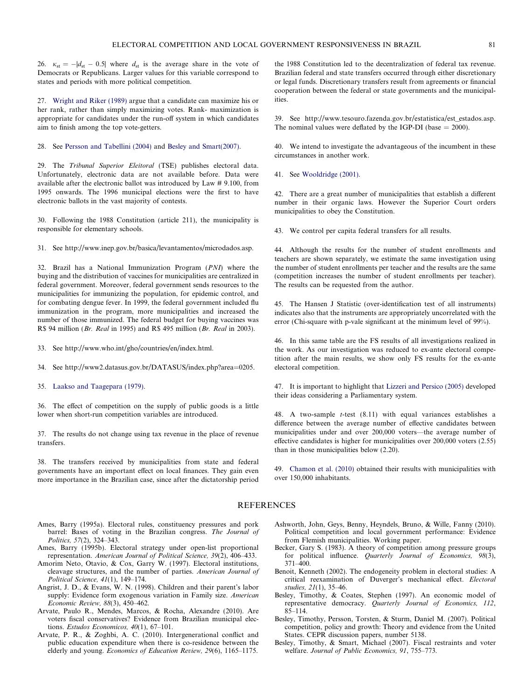<span id="page-14-0"></span>26.  $\kappa_{st} = -|d_{st} - 0.5|$  where  $d_{st}$  is the average share in the vote of Democrats or Republicans. Larger values for this variable correspond to states and periods with more political competition.

27. [Wright and Riker \(1989\)](#page-15-0) argue that a candidate can maximize his or her rank, rather than simply maximizing votes. Rank- maximization is appropriate for candidates under the run-off system in which candidates aim to finish among the top vote-getters.

#### 28. See [Persson and Tabellini \(2004\)](#page-15-0) and Besley and Smart(2007).

29. The Tribunal Superior Eleitoral (TSE) publishes electoral data. Unfortunately, electronic data are not available before. Data were available after the electronic ballot was introduced by Law # 9.100, from 1995 onwards. The 1996 municipal elections were the first to have electronic ballots in the vast majority of contests.

30. Following the 1988 Constitution (article 211), the municipality is responsible for elementary schools.

31. See http://www.inep.gov.br/basica/levantamentos/microdados.asp.

32. Brazil has a National Immunization Program (PNI) where the buying and the distribution of vaccines for municipalities are centralized in federal government. Moreover, federal government sends resources to the municipalities for immunizing the population, for epidemic control, and for combating dengue fever. In 1999, the federal government included flu immunization in the program, more municipalities and increased the number of those immunized. The federal budget for buying vaccines was R\$ 94 million (Br. Real in 1995) and R\$ 495 million (Br. Real in 2003).

33. See http://www.who.int/gho/countries/en/index.html.

34. See http://www2.datasus.gov.br/DATASUS/index.php?area=0205.

35. [Laakso and Taagepara \(1979\).](#page-15-0)

36. The effect of competition on the supply of public goods is a little lower when short-run competition variables are introduced.

37. The results do not change using tax revenue in the place of revenue transfers.

38. The transfers received by municipalities from state and federal governments have an important effect on local finances. They gain even more importance in the Brazilian case, since after the dictatorship period the 1988 Constitution led to the decentralization of federal tax revenue. Brazilian federal and state transfers occurred through either discretionary or legal funds. Discretionary transfers result from agreements or financial cooperation between the federal or state governments and the municipalities.

39. See http://www.tesouro.fazenda.gov.br/estatistica/est\_estados.asp. The nominal values were deflated by the IGP-DI (base  $= 2000$ ).

40. We intend to investigate the advantageous of the incumbent in these circumstances in another work.

41. See [Wooldridge \(2001\).](#page-15-0)

42. There are a great number of municipalities that establish a different number in their organic laws. However the Superior Court orders municipalities to obey the Constitution.

43. We control per capita federal transfers for all results.

44. Although the results for the number of student enrollments and teachers are shown separately, we estimate the same investigation using the number of student enrollments per teacher and the results are the same (competition increases the number of student enrollments per teacher). The results can be requested from the author.

45. The Hansen J Statistic (over-identification test of all instruments) indicates also that the instruments are appropriately uncorrelated with the error (Chi-square with p-vale significant at the minimum level of 99%).

46. In this same table are the FS results of all investigations realized in the work. As our investigation was reduced to ex-ante electoral competition after the main results, we show only FS results for the ex-ante electoral competition.

47. It is important to highlight that [Lizzeri and Persico \(2005\)](#page-15-0) developed their ideas considering a Parliamentary system.

48. A two-sample t-test (8.11) with equal variances establishes a difference between the average number of effective candidates between municipalities under and over 200,000 voters—the average number of effective candidates is higher for municipalities over 200,000 voters (2.55) than in those municipalities below (2.20).

49. [Chamon et al. \(2010\)](#page-15-0) obtained their results with municipalities with over 150,000 inhabitants.

#### **REFERENCES**

- Ames, Barry (1995a). Electoral rules, constituency pressures and pork barrel: Bases of voting in the Brazilian congress. The Journal of Politics, 57(2), 324–343.
- Ames, Barry (1995b). Electoral strategy under open-list proportional representation. American Journal of Political Science, 39(2), 406–433.
- Amorim Neto, Otavio, & Cox, Garry W. (1997). Electoral institutions, cleavage structures, and the number of parties. American Journal of Political Science, 41(1), 149–174.
- Angrist, J. D., & Evans, W. N. (1998). Children and their parent's labor supply: Evidence form exogenous variation in Family size. American Economic Review, 88(3), 450–462.
- Arvate, Paulo R., Mendes, Marcos, & Rocha, Alexandre (2010). Are voters fiscal conservatives? Evidence from Brazilian municipal elections. Estudos Economicos, 40(1), 67–101.
- Arvate, P. R., & Zoghbi, A. C. (2010). Intergenerational conflict and public education expenditure when there is co-residence between the elderly and young. Economics of Education Review, 29(6), 1165-1175.
- Ashworth, John, Geys, Benny, Heyndels, Bruno, & Wille, Fanny (2010). Political competition and local government performance: Evidence from Flemish municipalities. Working paper.
- Becker, Gary S. (1983). A theory of competition among pressure groups for political influence. Quarterly Journal of Economics, 98(3),  $371 - 400$ .
- Benoit, Kenneth (2002). The endogeneity problem in electoral studies: A critical reexamination of Duverger's mechanical effect. Electoral studies, 21(1), 35–46.
- Besley, Timothy, & Coates, Stephen (1997). An economic model of representative democracy. Quarterly Journal of Economics, 112, 85–114.
- Besley, Timothy, Persson, Torsten, & Sturm, Daniel M. (2007). Political competition, policy and growth: Theory and evidence from the United States. CEPR discussion papers, number 5138.
- Besley, Timothy, & Smart, Michael (2007). Fiscal restraints and voter welfare. Journal of Public Economics, 91, 755–773.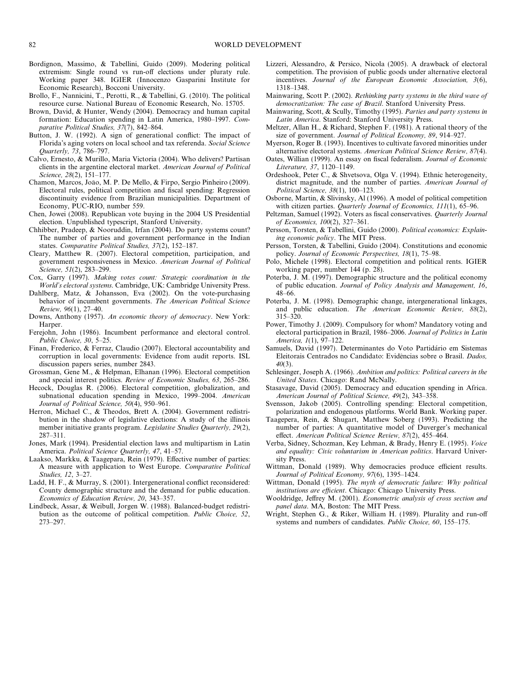- <span id="page-15-0"></span>Bordignon, Massimo, & Tabellini, Guido (2009). Modering political extremism: Single round vs run-off elections under pluraty rule. Working paper 348. IGIER (Innocenzo Gasparini Institute for Economic Research), Bocconi University.
- Brollo, F., Nannicini, T., Perotti, R., & Tabellini, G. (2010). The political resource curse. National Bureau of Economic Research, No. 15705.
- Brown, David, & Hunter, Wendy (2004). Democracy and human capital formation: Education spending in Latin America, 1980–1997. Comparative Political Studies, 37(7), 842-864.
- Button, J. W. (1992). A sign of generational conflict: The impact of Florida's aging voters on local school and tax referenda. Social Science Quarterly, 73, 786–797.
- Calvo, Ernesto, & Murillo, Maria Victoria (2004). Who delivers? Partisan clients in the argentine electoral market. American Journal of Political Science, 28(2), 151–177.
- Chamon, Marcos, João, M. P. De Mello, & Firpo, Sergio Pinheiro (2009). Electoral rules, political competition and fiscal spending: Regression discontinuity evidence from Brazilian municipalities. Department of Economy, PUC-RIO, number 559.
- Chen, Jowei (2008). Republican vote buying in the 2004 US Presidential election. Unpublished typescript, Stanford University.
- Chhibber, Pradeep, & Nooruddin, Irfan (2004). Do party systems count? The number of parties and government performance in the Indian states. Comparative Political Studies, 37(2), 152–187.
- Cleary, Matthew R. (2007). Electoral competition, participation, and government responsiveness in Mexico. American Journal of Political Science, 51(2), 283-299.
- Cox, Garry (1997). Making votes count: Strategic coordination in the World's electoral systems. Cambridge, UK: Cambridge University Press.
- Dahlberg, Matz, & Johansson, Eva (2002). On the vote-purchasing behavior of incumbent governments. The American Political Science Review, 96(1), 27–40.
- Downs, Anthony (1957). An economic theory of democracy. New York: Harper.
- Ferejohn, John (1986). Incumbent performance and electoral control. Public Choice, 30, 5–25.
- Finan, Frederico, & Ferraz, Claudio (2007). Electoral accountability and corruption in local governments: Evidence from audit reports. ISL discussion papers series, number 2843.
- Grossman, Gene M., & Helpman, Elhanan (1996). Electoral competition and special interest politics. Review of Economic Studies, 63, 265–286.
- Hecock, Douglas R. (2006). Electoral competition, globalization, and subnational education spending in Mexico, 1999–2004. American Journal of Political Science, 50(4), 950–961.
- Herron, Michael C., & Theodos, Brett A. (2004). Government redistribution in the shadow of legislative elections: A study of the illinois member initiative grants program. Legislative Studies Quarterly, 29(2), 287–311.
- Jones, Mark (1994). Presidential election laws and multipartism in Latin America. Political Science Quarterly, 47, 41–57.
- Laakso, Markku, & Taagepara, Rein (1979). Effective number of parties: A measure with application to West Europe. Comparative Political Studies, 12, 3–27.
- Ladd, H. F., & Murray, S. (2001). Intergenerational conflict reconsidered: County demographic structure and the demand for public education. Economics of Education Review, 20, 343–357.
- Lindbeck, Assar, & Weibull, Jorgen W. (1988). Balanced-budget redistribution as the outcome of political competition. Public Choice, 52, 273–297.
- Lizzeri, Alessandro, & Persico, Nicola (2005). A drawback of electoral competition. The provision of public goods under alternative electoral incentives. Journal of the European Economic Association, 3(6), 1318–1348.
- Mainwaring, Scott P. (2002). Rethinking party systems in the third wave of democratization: The case of Brazil. Stanford University Press.
- Mainwaring, Scott, & Scully, Timothy (1995). Parties and party systems in Latin America. Stanford: Stanford University Press.
- Meltzer, Allan H., & Richard, Stephen F. (1981). A rational theory of the size of government. Journal of Political Economy, 89, 914–927.
- Myerson, Roger B. (1993). Incentives to cultivate favored minorities under alternative electoral systems. American Political Science Review, 87(4).
- Oates, Willian (1999). An essay on fiscal federalism. Journal of Economic Literature, 37, 1120–1149.
- Ordeshook, Peter C., & Shvetsova, Olga V. (1994). Ethnic heterogeneity, district magnitude, and the number of parties. American Journal of Political Science, 38(1), 100–123.
- Osborne, Martin, & Slivinsky, Al (1996). A model of political competition with citizen parties. Quarterly Journal of Economics, 111(1), 65-96.
- Peltzman, Samuel (1992). Voters as fiscal conservatives. Quarterly Journal of Economics, 100(2), 327–361.
- Persson, Torsten, & Tabellini, Guido (2000). Political economics: Explaining economic policy. The MIT Press.
- Persson, Torsten, & Tabellini, Guido (2004). Constitutions and economic policy. Journal of Economic Perspectives, 18(1), 75–98.
- Polo, Michele (1998). Electoral competition and political rents. IGIER working paper, number 144 (p. 28).
- Poterba, J. M. (1997). Demographic structure and the political economy of public education. Journal of Policy Analysis and Management, 16, 48–66.
- Poterba, J. M. (1998). Demographic change, intergenerational linkages, and public education. The American Economic Review, 88(2), 315–320.
- Power, Timothy J. (2009). Compulsory for whom? Mandatory voting and electoral participation in Brazil, 1986–2006. Journal of Politics in Latin America, 1(1), 97–122.
- Samuels, David (1997). Determinantes do Voto Partidário em Sistemas Eleitorais Centrados no Candidato: Evidências sobre o Brasil. Dados, 40(3).
- Schlesinger, Joseph A. (1966). Ambition and politics: Political careers in the United States. Chicago: Rand McNally.
- Stasavage, David (2005). Democracy and education spending in Africa. American Journal of Political Science, 49(2), 343–358.
- Svensson, Jakob (2005). Controlling spending: Electoral competition, polarization and endogenous platforms. World Bank. Working paper.
- Taagepera, Rein, & Shugart, Matthew Soberg (1993). Predicting the number of parties: A quantitative model of Duverger's mechanical effect. American Political Science Review, 87(2), 455–464.
- Verba, Sidney, Schozman, Key Lehman, & Brady, Henry E. (1995). Voice and equality: Civic voluntarism in American politics. Harvard University Press.
- Wittman, Donald (1989). Why democracies produce efficient results. Journal of Political Economy, 97(6), 1395–1424.
- Wittman, Donald (1995). The myth of democratic failure: Why political institutions are efficient. Chicago: Chicago University Press.
- Wooldridge, Jeffrey M. (2001). Econometric analysis of cross section and panel data. MA, Boston: The MIT Press.
- Wright, Stephen G., & Riker, William H. (1989). Plurality and run-off systems and numbers of candidates. Public Choice, 60, 155–175.